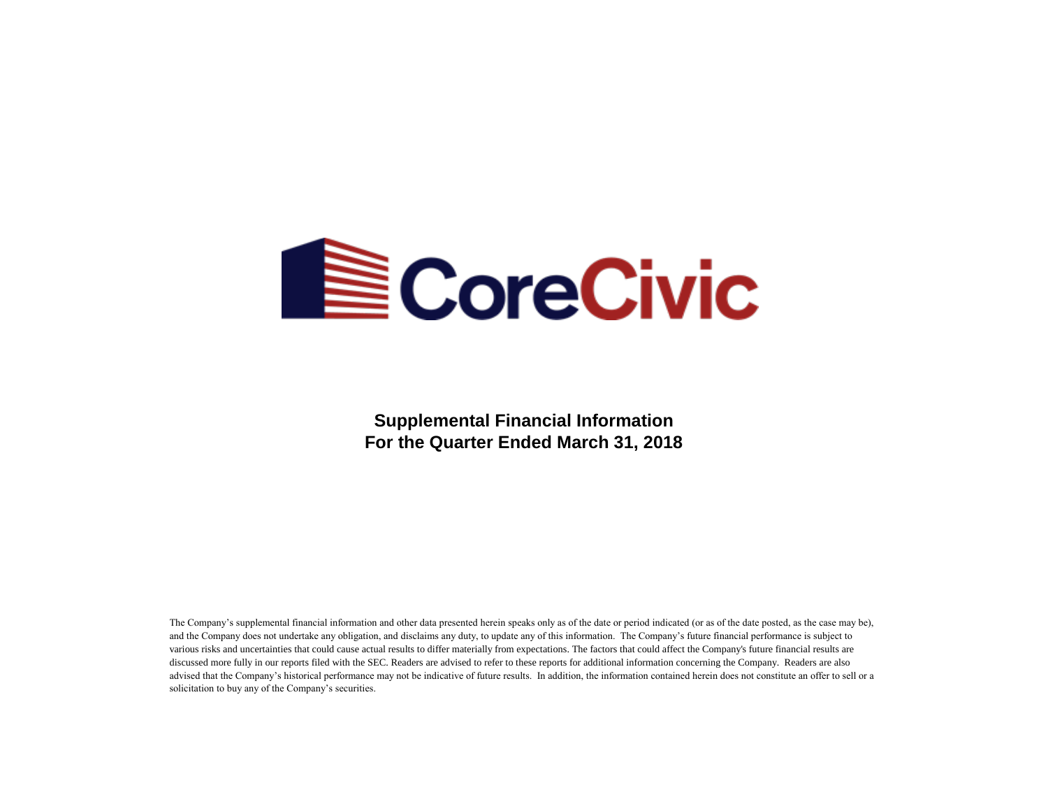

**Supplemental Financial Information For the Quarter Ended March 31, 2018**

The Company's supplemental financial information and other data presented herein speaks only as of the date or period indicated (or as of the date posted, as the case may be), and the Company does not undertake any obligation, and disclaims any duty, to update any of this information. The Company's future financial performance is subject to various risks and uncertainties that could cause actual results to differ materially from expectations. The factors that could affect the Company's future financial results are discussed more fully in our reports filed with the SEC. Readers are advised to refer to these reports for additional information concerning the Company. Readers are also advised that the Company's historical performance may not be indicative of future results. In addition, the information contained herein does not constitute an offer to sell or a solicitation to buy any of the Company's securities.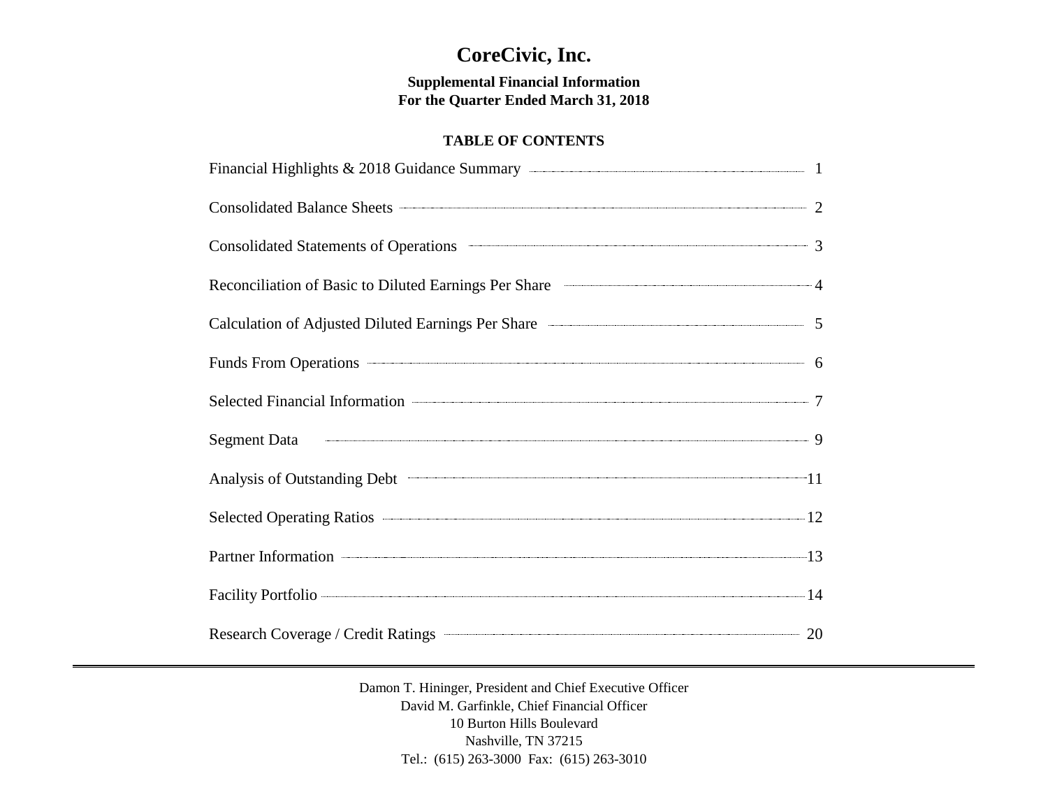# **CoreCivic, Inc.**

**Supplemental Financial Information For the Quarter Ended March 31, 2018**

# **TABLE OF CONTENTS**

| Consolidated Balance Sheets 2                                                        |  |
|--------------------------------------------------------------------------------------|--|
| Consolidated Statements of Operations <b>Consolidated Statements</b> of Operations 3 |  |
| Reconciliation of Basic to Diluted Earnings Per Share 44                             |  |
| Calculation of Adjusted Diluted Earnings Per Share <b>Calculation</b> 6 5            |  |
| Funds From Operations 6                                                              |  |
|                                                                                      |  |
| Segment Data 9                                                                       |  |
| Analysis of Outstanding Debt 11                                                      |  |
| Selected Operating Ratios 22                                                         |  |
| Partner Information 13                                                               |  |
| Facility Portfolio 2022 14                                                           |  |
| Research Coverage / Credit Ratings 20                                                |  |

Damon T. Hininger, President and Chief Executive Officer David M. Garfinkle, Chief Financial Officer 10 Burton Hills Boulevard Nashville, TN 37215 Tel.: (615) 263-3000 Fax: (615) 263-3010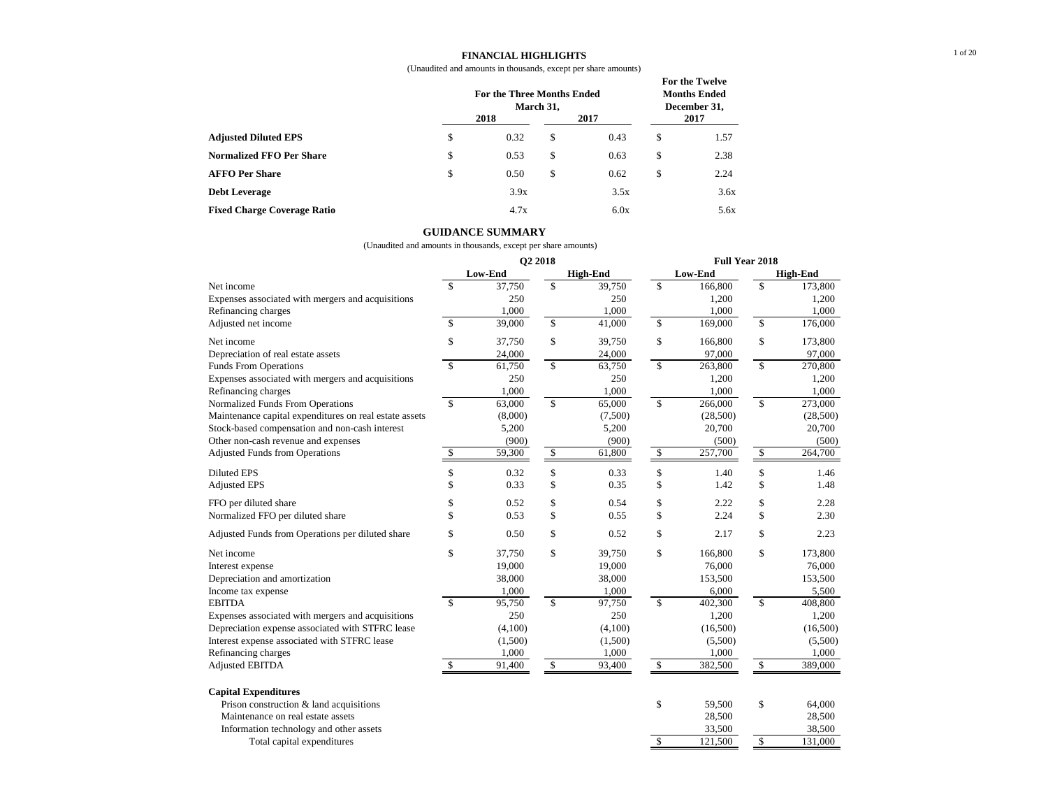#### **FINANCIAL HIGHLIGHTS**

(Unaudited and amounts in thousands, except per share amounts)

|                                    | (Chungure and announced in anounced, energy per share announce) |                                                |    |                                                       |      |      |  |  |  |  |
|------------------------------------|-----------------------------------------------------------------|------------------------------------------------|----|-------------------------------------------------------|------|------|--|--|--|--|
|                                    |                                                                 | <b>For the Three Months Ended</b><br>March 31, |    | For the Twelve<br><b>Months Ended</b><br>December 31, |      |      |  |  |  |  |
|                                    |                                                                 | 2018                                           |    |                                                       | 2017 |      |  |  |  |  |
| <b>Adjusted Diluted EPS</b>        | \$                                                              | 0.32                                           | \$ | 0.43                                                  | \$   | 1.57 |  |  |  |  |
| <b>Normalized FFO Per Share</b>    | \$                                                              | 0.53                                           | \$ | 0.63                                                  | \$   | 2.38 |  |  |  |  |
| <b>AFFO Per Share</b>              | \$                                                              | 0.50                                           | \$ | 0.62                                                  | \$   | 2.24 |  |  |  |  |
| <b>Debt Leverage</b>               |                                                                 | 3.9x                                           |    | 3.5x                                                  |      | 3.6x |  |  |  |  |
| <b>Fixed Charge Coverage Ratio</b> |                                                                 | 4.7x                                           |    | 6.0x                                                  |      | 5.6x |  |  |  |  |

# **GUIDANCE SUMMARY**

|                                                        | Q2 2018            |         |                    |                 | <b>Full Year 2018</b> |               |                 |
|--------------------------------------------------------|--------------------|---------|--------------------|-----------------|-----------------------|---------------|-----------------|
|                                                        |                    | Low-End |                    | <b>High-End</b> | Low-End               |               | <b>High-End</b> |
| Net income                                             | \$                 | 37,750  | \$                 | 39,750          | \$<br>166,800         | \$            | 173,800         |
| Expenses associated with mergers and acquisitions      |                    | 250     |                    | 250             | 1,200                 |               | 1,200           |
| Refinancing charges                                    |                    | 1,000   |                    | 1,000           | 1,000                 |               | 1,000           |
| Adjusted net income                                    | \$                 | 39,000  | \$                 | 41,000          | \$<br>169,000         | \$            | 176,000         |
| Net income                                             | \$                 | 37,750  | \$                 | 39,750          | \$<br>166,800         | \$            | 173,800         |
| Depreciation of real estate assets                     |                    | 24,000  |                    | 24,000          | 97,000                |               | 97,000          |
| <b>Funds From Operations</b>                           | \$                 | 61,750  | \$                 | 63,750          | \$<br>263,800         | \$            | 270,800         |
| Expenses associated with mergers and acquisitions      |                    | 250     |                    | 250             | 1,200                 |               | 1,200           |
| Refinancing charges                                    |                    | 1,000   |                    | 1,000           | 1,000                 |               | 1,000           |
| Normalized Funds From Operations                       | \$                 | 63,000  | $\mathbf{\hat{S}}$ | 65,000          | \$<br>266,000         | $\mathsf{\$}$ | 273,000         |
| Maintenance capital expenditures on real estate assets |                    | (8,000) |                    | (7,500)         | (28,500)              |               | (28,500)        |
| Stock-based compensation and non-cash interest         |                    | 5,200   |                    | 5,200           | 20,700                |               | 20,700          |
| Other non-cash revenue and expenses                    |                    | (900)   |                    | (900)           | (500)                 |               | (500)           |
| <b>Adjusted Funds from Operations</b>                  | \$                 | 59,300  | \$                 | 61,800          | \$<br>257,700         | \$            | 264,700         |
| <b>Diluted EPS</b>                                     | \$                 | 0.32    | \$                 | 0.33            | \$<br>1.40            | \$            | 1.46            |
| <b>Adjusted EPS</b>                                    | \$                 | 0.33    | \$                 | 0.35            | \$<br>1.42            | \$            | 1.48            |
| FFO per diluted share                                  | \$                 | 0.52    | \$                 | 0.54            | \$<br>2.22            | \$            | 2.28            |
| Normalized FFO per diluted share                       | \$                 | 0.53    | \$                 | 0.55            | \$<br>2.24            | \$            | 2.30            |
| Adjusted Funds from Operations per diluted share       | \$                 | 0.50    | \$                 | 0.52            | \$<br>2.17            | \$            | 2.23            |
| Net income                                             | \$                 | 37,750  | \$                 | 39,750          | \$<br>166,800         | \$            | 173,800         |
| Interest expense                                       |                    | 19,000  |                    | 19,000          | 76,000                |               | 76,000          |
| Depreciation and amortization                          |                    | 38,000  |                    | 38,000          | 153,500               |               | 153,500         |
| Income tax expense                                     |                    | 1,000   |                    | 1,000           | 6,000                 |               | 5,500           |
| <b>EBITDA</b>                                          | $\mathbf{\hat{S}}$ | 95,750  | $\mathbf{\hat{S}}$ | 97,750          | \$<br>402,300         | \$            | 408,800         |
| Expenses associated with mergers and acquisitions      |                    | 250     |                    | 250             | 1,200                 |               | 1,200           |
| Depreciation expense associated with STFRC lease       |                    | (4,100) |                    | (4,100)         | (16,500)              |               | (16,500)        |
| Interest expense associated with STFRC lease           |                    | (1,500) |                    | (1,500)         | (5,500)               |               | (5,500)         |
| Refinancing charges                                    |                    | 1,000   |                    | 1,000           | 1,000                 |               | 1,000           |
| <b>Adjusted EBITDA</b>                                 | <sup>\$</sup>      | 91,400  | \$                 | 93,400          | \$<br>382,500         | \$            | 389,000         |
| <b>Capital Expenditures</b>                            |                    |         |                    |                 |                       |               |                 |
| Prison construction & land acquisitions                |                    |         |                    |                 | \$<br>59,500          | \$            | 64,000          |
| Maintenance on real estate assets                      |                    |         |                    |                 | 28,500                |               | 28,500          |
| Information technology and other assets                |                    |         |                    |                 | 33,500                |               | 38,500          |
| Total capital expenditures                             |                    |         |                    |                 | \$<br>121,500         | \$            | 131,000         |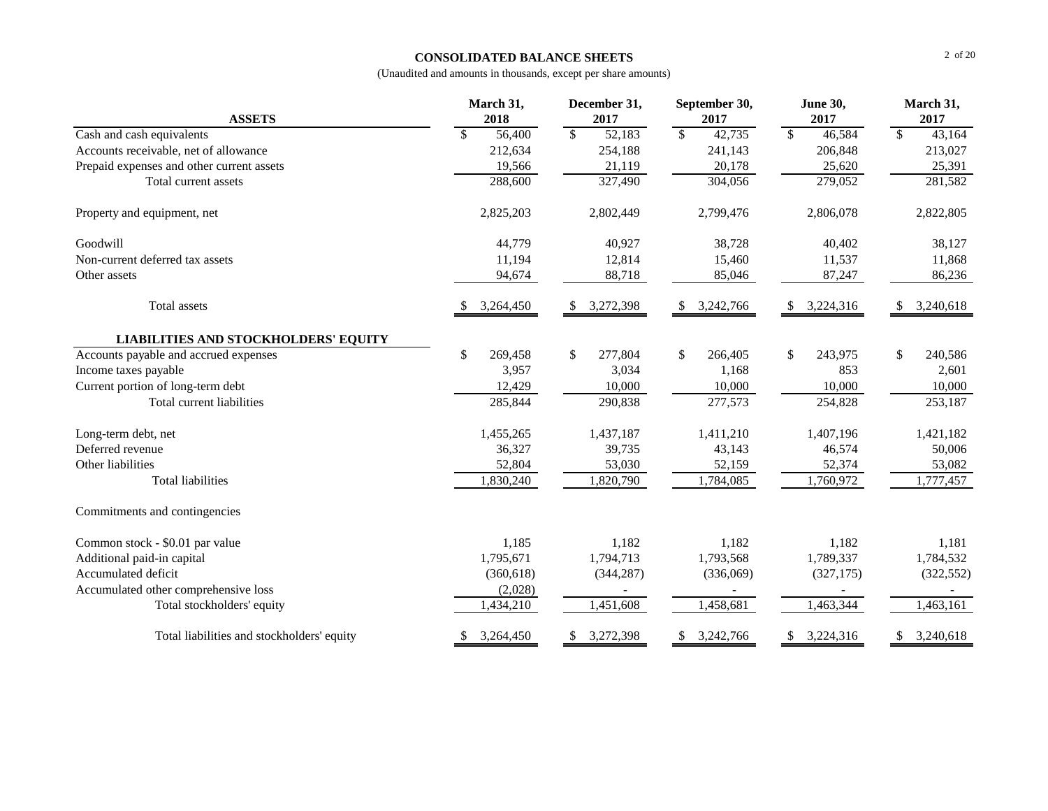# **CONSOLIDATED BALANCE SHEETS**

|                                             | March 31,       | December 31,                       | September 30,                      | <b>June 30,</b>                    | March 31,                          |
|---------------------------------------------|-----------------|------------------------------------|------------------------------------|------------------------------------|------------------------------------|
| <b>ASSETS</b>                               | 2018            | 2017                               | 2017                               | 2017                               | 2017                               |
| Cash and cash equivalents                   | \$<br>56,400    | $\overline{\mathcal{S}}$<br>52,183 | $\overline{\mathcal{S}}$<br>42,735 | $\overline{\mathcal{S}}$<br>46,584 | $\overline{\mathcal{S}}$<br>43,164 |
| Accounts receivable, net of allowance       | 212,634         | 254,188                            | 241,143                            | 206,848                            | 213,027                            |
| Prepaid expenses and other current assets   | 19,566          | 21,119                             | 20,178                             | 25,620                             | 25,391                             |
| Total current assets                        | 288,600         | 327,490                            | 304,056                            | 279,052                            | 281,582                            |
| Property and equipment, net                 | 2,825,203       | 2,802,449                          | 2,799,476                          | 2,806,078                          | 2,822,805                          |
| Goodwill                                    | 44,779          | 40,927                             | 38,728                             | 40,402                             | 38,127                             |
| Non-current deferred tax assets             | 11,194          | 12,814                             | 15,460                             | 11,537                             | 11,868                             |
| Other assets                                | 94,674          | 88,718                             | 85,046                             | 87,247                             | 86,236                             |
| Total assets                                | 3,264,450       | 3,272,398<br>\$                    | 3,242,766<br>\$                    | 3,224,316<br>\$                    | 3,240,618<br>\$                    |
| <b>LIABILITIES AND STOCKHOLDERS' EQUITY</b> |                 |                                    |                                    |                                    |                                    |
| Accounts payable and accrued expenses       | \$<br>269,458   | \$<br>277,804                      | $\mathbb{S}$<br>266,405            | $\mathbb{S}$<br>243,975            | \$<br>240,586                      |
| Income taxes payable                        | 3,957           | 3,034                              | 1,168                              | 853                                | 2,601                              |
| Current portion of long-term debt           | 12,429          | 10,000                             | 10,000                             | 10,000                             | 10,000                             |
| Total current liabilities                   | 285,844         | 290,838                            | 277,573                            | 254,828                            | 253,187                            |
| Long-term debt, net                         | 1,455,265       | 1,437,187                          | 1,411,210                          | 1,407,196                          | 1,421,182                          |
| Deferred revenue                            | 36,327          | 39,735                             | 43,143                             | 46,574                             | 50,006                             |
| Other liabilities                           | 52,804          | 53,030                             | 52,159                             | 52,374                             | 53,082                             |
| <b>Total liabilities</b>                    | 1,830,240       | 1,820,790                          | 1,784,085                          | 1,760,972                          | 1,777,457                          |
| Commitments and contingencies               |                 |                                    |                                    |                                    |                                    |
| Common stock - \$0.01 par value             | 1,185           | 1,182                              | 1,182                              | 1,182                              | 1,181                              |
| Additional paid-in capital                  | 1,795,671       | 1,794,713                          | 1,793,568                          | 1,789,337                          | 1,784,532                          |
| Accumulated deficit                         | (360, 618)      | (344, 287)                         | (336,069)                          | (327, 175)                         | (322, 552)                         |
| Accumulated other comprehensive loss        | (2,028)         |                                    |                                    |                                    |                                    |
| Total stockholders' equity                  | 1,434,210       | 1,451,608                          | 1,458,681                          | 1,463,344                          | 1,463,161                          |
| Total liabilities and stockholders' equity  | 3,264,450<br>S. | 3,272,398<br>S.                    | 3,242,766<br>S.                    | 3,224,316<br>S.                    | 3,240,618<br>\$                    |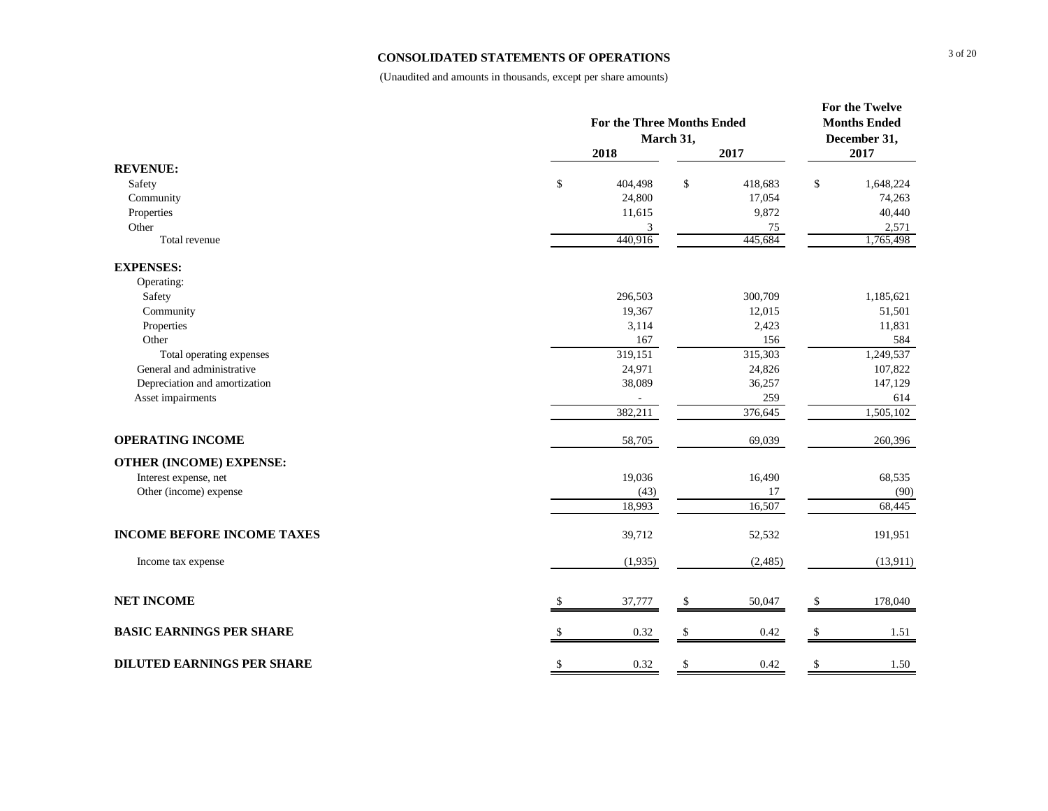# **CONSOLIDATED STATEMENTS OF OPERATIONS**

|                                   |               | <b>For the Three Months Ended</b> |         |    |              |  |  |
|-----------------------------------|---------------|-----------------------------------|---------|----|--------------|--|--|
|                                   |               | March 31,                         |         |    | December 31, |  |  |
|                                   | 2018          |                                   | 2017    |    | 2017         |  |  |
| <b>REVENUE:</b>                   |               |                                   |         |    |              |  |  |
| Safety                            | \$<br>404,498 | \$                                | 418,683 | \$ | 1,648,224    |  |  |
| Community                         | 24,800        |                                   | 17,054  |    | 74,263       |  |  |
| Properties                        | 11,615        |                                   | 9,872   |    | 40,440       |  |  |
| Other                             | 3             |                                   | 75      |    | 2,571        |  |  |
| Total revenue                     | 440,916       |                                   | 445,684 |    | 1,765,498    |  |  |
| <b>EXPENSES:</b>                  |               |                                   |         |    |              |  |  |
| Operating:                        |               |                                   |         |    |              |  |  |
| Safety                            | 296,503       |                                   | 300,709 |    | 1,185,621    |  |  |
| Community                         | 19,367        |                                   | 12,015  |    | 51,501       |  |  |
| Properties                        | 3,114         |                                   | 2,423   |    | 11,831       |  |  |
| Other                             | 167           |                                   | 156     |    | 584          |  |  |
| Total operating expenses          | 319,151       |                                   | 315,303 |    | 1,249,537    |  |  |
| General and administrative        | 24,971        |                                   | 24,826  |    | 107,822      |  |  |
| Depreciation and amortization     | 38,089        |                                   | 36,257  |    | 147,129      |  |  |
| Asset impairments                 |               |                                   | 259     |    | 614          |  |  |
|                                   | 382,211       |                                   | 376,645 |    | 1,505,102    |  |  |
| <b>OPERATING INCOME</b>           | 58,705        |                                   | 69,039  |    | 260,396      |  |  |
| <b>OTHER (INCOME) EXPENSE:</b>    |               |                                   |         |    |              |  |  |
| Interest expense, net             | 19,036        |                                   | 16,490  |    | 68,535       |  |  |
| Other (income) expense            | (43)          |                                   | 17      |    | (90)         |  |  |
|                                   | 18,993        |                                   | 16,507  |    | 68,445       |  |  |
| <b>INCOME BEFORE INCOME TAXES</b> | 39,712        |                                   | 52,532  |    | 191,951      |  |  |
| Income tax expense                | (1,935)       |                                   | (2,485) |    | (13, 911)    |  |  |
| <b>NET INCOME</b>                 | 37,777<br>-S  | \$                                | 50,047  | \$ | 178,040      |  |  |
| <b>BASIC EARNINGS PER SHARE</b>   | 0.32          |                                   | 0.42    |    | 1.51         |  |  |
| <b>DILUTED EARNINGS PER SHARE</b> | \$<br>0.32    | \$                                | 0.42    | \$ | 1.50         |  |  |
|                                   |               |                                   |         |    |              |  |  |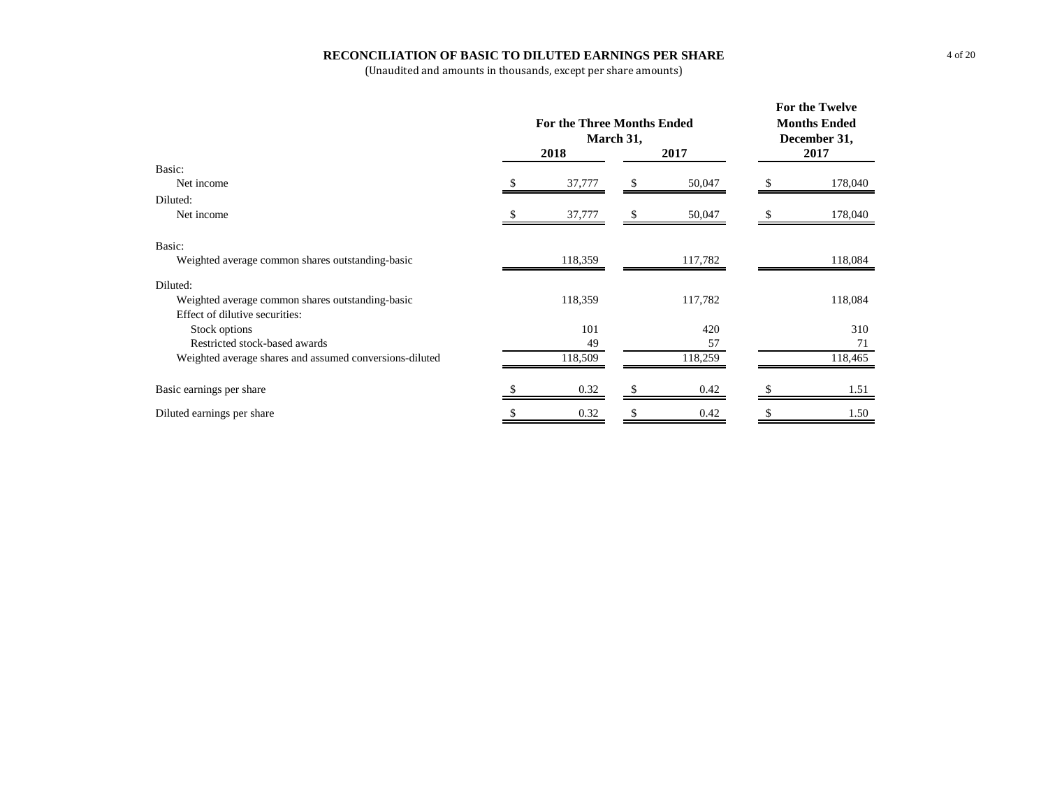# **RECONCILIATION OF BASIC TO DILUTED EARNINGS PER SHARE**

|                                                                                    | <b>For the Three Months Ended</b><br>2018 | March 31, | 2017    | For the Twelve<br><b>Months Ended</b><br>December 31,<br>2017 |         |  |
|------------------------------------------------------------------------------------|-------------------------------------------|-----------|---------|---------------------------------------------------------------|---------|--|
| Basic:                                                                             |                                           |           |         |                                                               |         |  |
| Net income                                                                         | 37,777                                    | S         | 50,047  |                                                               | 178,040 |  |
| Diluted:                                                                           |                                           |           |         |                                                               |         |  |
| Net income                                                                         | 37,777                                    |           | 50,047  |                                                               | 178,040 |  |
| Basic:<br>Weighted average common shares outstanding-basic                         | 118,359                                   |           | 117,782 |                                                               | 118,084 |  |
| Diluted:                                                                           |                                           |           |         |                                                               |         |  |
| Weighted average common shares outstanding-basic<br>Effect of dilutive securities: | 118,359                                   |           | 117,782 |                                                               | 118,084 |  |
| Stock options                                                                      | 101                                       |           | 420     |                                                               | 310     |  |
| Restricted stock-based awards                                                      | 49                                        |           | 57      |                                                               | 71      |  |
| Weighted average shares and assumed conversions-diluted                            | 118,509                                   |           | 118,259 |                                                               | 118,465 |  |
| Basic earnings per share                                                           | 0.32                                      |           | 0.42    |                                                               | 1.51    |  |
| Diluted earnings per share                                                         | 0.32                                      |           | 0.42    |                                                               | 1.50    |  |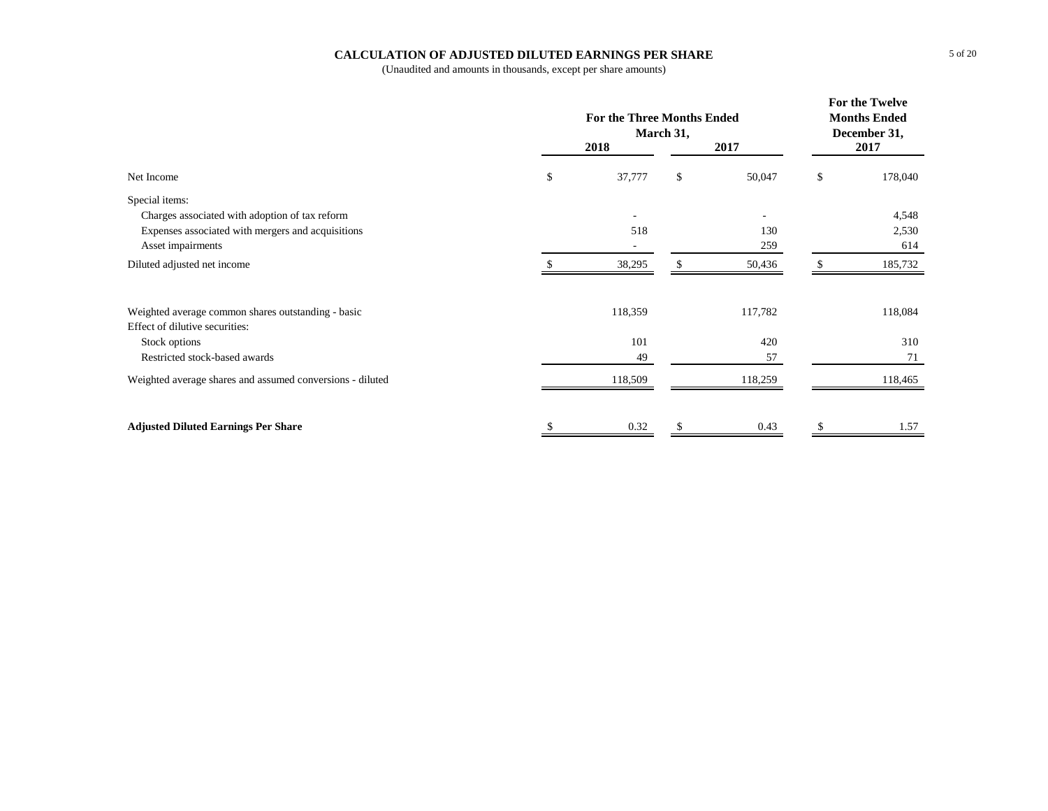# **CALCULATION OF ADJUSTED DILUTED EARNINGS PER SHARE**

|                                                           | <b>For the Three Months Ended</b><br>2018 | For the Twelve<br><b>Months Ended</b><br>December 31,<br>2017 |              |    |         |
|-----------------------------------------------------------|-------------------------------------------|---------------------------------------------------------------|--------------|----|---------|
| Net Income                                                | \$                                        | 37,777                                                        | \$<br>50,047 | \$ | 178,040 |
| Special items:                                            |                                           |                                                               |              |    |         |
| Charges associated with adoption of tax reform            |                                           |                                                               |              |    | 4,548   |
| Expenses associated with mergers and acquisitions         |                                           | 518                                                           | 130          |    | 2,530   |
| Asset impairments                                         |                                           |                                                               | 259          |    | 614     |
| Diluted adjusted net income                               |                                           | 38,295                                                        | 50,436       |    | 185,732 |
| Weighted average common shares outstanding - basic        |                                           | 118,359                                                       | 117,782      |    | 118,084 |
| Effect of dilutive securities:                            |                                           |                                                               |              |    |         |
| Stock options                                             |                                           | 101                                                           | 420          |    | 310     |
| Restricted stock-based awards                             |                                           | 49                                                            | 57           |    | 71      |
| Weighted average shares and assumed conversions - diluted |                                           | 118,509                                                       | 118,259      |    | 118,465 |
| <b>Adjusted Diluted Earnings Per Share</b>                |                                           | 0.32                                                          | 0.43         |    | 1.57    |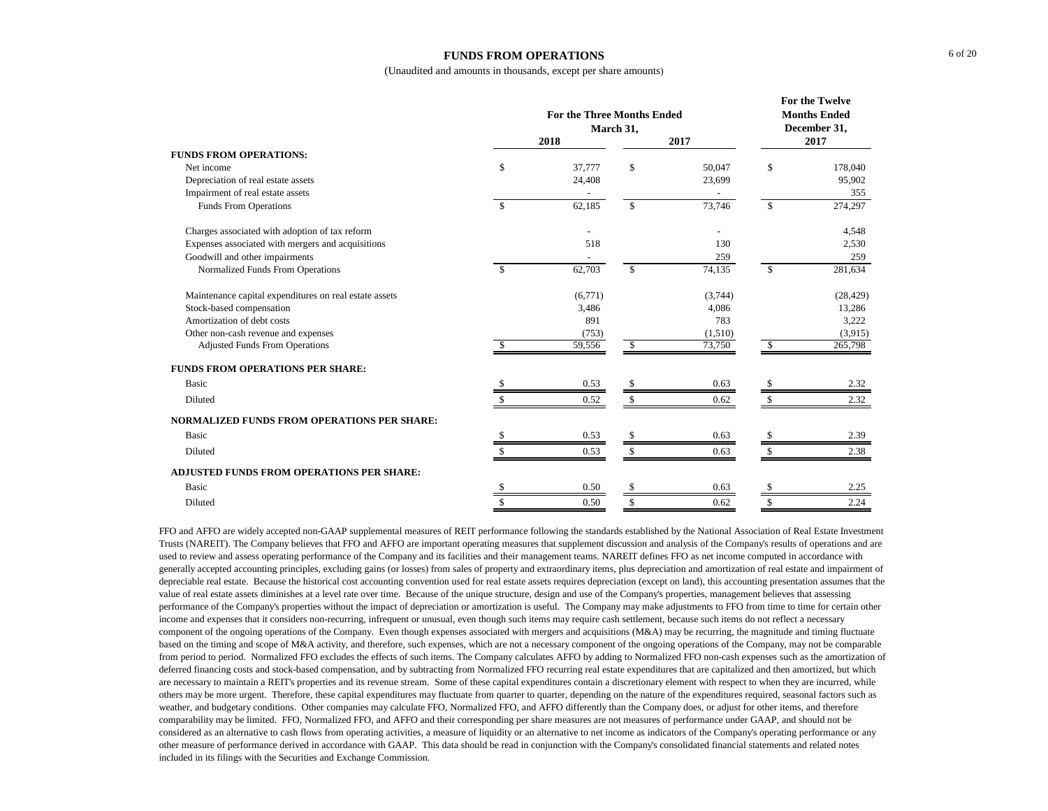### **FUNDS FROM OPERATIONS**

(Unaudited and amounts in thousands, except per share amounts)

|                                                        |                    | <b>For the Three Months Ended</b><br>March 31,<br>2018 | For the Twelve<br><b>Months Ended</b><br>December 31,<br>2017 |                |                    |           |
|--------------------------------------------------------|--------------------|--------------------------------------------------------|---------------------------------------------------------------|----------------|--------------------|-----------|
| <b>FUNDS FROM OPERATIONS:</b>                          |                    |                                                        |                                                               |                |                    |           |
| Net income                                             | \$                 | 37,777                                                 | \$                                                            | 50,047         | \$                 | 178,040   |
| Depreciation of real estate assets                     |                    | 24,408                                                 |                                                               | 23,699         |                    | 95,902    |
| Impairment of real estate assets                       |                    |                                                        |                                                               |                |                    | 355       |
| <b>Funds From Operations</b>                           | $\mathbb{S}$       | 62,185                                                 | \$                                                            | 73,746         | \$                 | 274,297   |
| Charges associated with adoption of tax reform         |                    | $\overline{\phantom{a}}$                               |                                                               | $\blacksquare$ |                    | 4,548     |
| Expenses associated with mergers and acquisitions      |                    | 518                                                    |                                                               | 130            |                    | 2,530     |
| Goodwill and other impairments                         |                    |                                                        |                                                               | 259            |                    | 259       |
| Normalized Funds From Operations                       | $\mathbf{\hat{S}}$ | 62,703                                                 | $\mathbb{S}$                                                  | 74,135         | $\mathbf{\hat{S}}$ | 281,634   |
| Maintenance capital expenditures on real estate assets |                    | (6,771)                                                |                                                               | (3,744)        |                    | (28, 429) |
| Stock-based compensation                               |                    | 3,486                                                  |                                                               | 4,086          |                    | 13,286    |
| Amortization of debt costs                             |                    | 891                                                    |                                                               | 783            |                    | 3,222     |
| Other non-cash revenue and expenses                    |                    | (753)                                                  |                                                               | (1,510)        |                    | (3,915)   |
| <b>Adjusted Funds From Operations</b>                  |                    | 59,556                                                 | \$                                                            | 73,750         | \$.                | 265,798   |
| <b>FUNDS FROM OPERATIONS PER SHARE:</b>                |                    |                                                        |                                                               |                |                    |           |
| <b>Basic</b>                                           |                    | 0.53                                                   |                                                               | 0.63           |                    | 2.32      |
| Diluted                                                |                    | 0.52                                                   |                                                               | 0.62           |                    | 2.32      |
| <b>NORMALIZED FUNDS FROM OPERATIONS PER SHARE:</b>     |                    |                                                        |                                                               |                |                    |           |
| <b>Basic</b>                                           |                    | 0.53                                                   |                                                               | 0.63           |                    | 2.39      |
| Diluted                                                |                    | 0.53                                                   | S                                                             | 0.63           | \$.                | 2.38      |
| <b>ADJUSTED FUNDS FROM OPERATIONS PER SHARE:</b>       |                    |                                                        |                                                               |                |                    |           |
| <b>Basic</b>                                           |                    | 0.50                                                   | \$                                                            | 0.63           |                    | 2.25      |
| Diluted                                                | \$                 | 0.50                                                   | \$                                                            | 0.62           | \$                 | 2.24      |

FFO and AFFO are widely accepted non-GAAP supplemental measures of REIT performance following the standards established by the National Association of Real Estate Investment Trusts (NAREIT). The Company believes that FFO and AFFO are important operating measures that supplement discussion and analysis of the Company's results of operations and are used to review and assess operating performance of the Company and its facilities and their management teams. NAREIT defines FFO as net income computed in accordance with generally accepted accounting principles, excluding gains (or losses) from sales of property and extraordinary items, plus depreciation and amortization of real estate and impairment of depreciable real estate. Because the historical cost accounting convention used for real estate assets requires depreciation (except on land), this accounting presentation assumes that the value of real estate assets diminishes at a level rate over time. Because of the unique structure, design and use of the Company's properties, management believes that assessing performance of the Company's properties without the impact of depreciation or amortization is useful. The Company may make adjustments to FFO from time to time for certain other income and expenses that it considers non-recurring, infrequent or unusual, even though such items may require cash settlement, because such items do not reflect a necessary component of the ongoing operations of the Company. Even though expenses associated with mergers and acquisitions (M&A) may be recurring, the magnitude and timing fluctuate based on the timing and scope of M&A activity, and therefore, such expenses, which are not a necessary component of the ongoing operations of the Company, may not be comparable from period to period. Normalized FFO excludes the effects of such items. The Company calculates AFFO by adding to Normalized FFO non-cash expenses such as the amortization of deferred financing costs and stock-based compensation, and by subtracting from Normalized FFO recurring real estate expenditures that are capitalized and then amortized, but which are necessary to maintain a REIT's properties and its revenue stream. Some of these capital expenditures contain a discretionary element with respect to when they are incurred, while others may be more urgent. Therefore, these capital expenditures may fluctuate from quarter to quarter, depending on the nature of the expenditures required, seasonal factors such as weather, and budgetary conditions. Other companies may calculate FFO, Normalized FFO, and AFFO differently than the Company does, or adjust for other items, and therefore comparability may be limited. FFO, Normalized FFO, and AFFO and their corresponding per share measures are not measures of performance under GAAP, and should not be considered as an alternative to cash flows from operating activities, a measure of liquidity or an alternative to net income as indicators of the Company's operating performance or any other measure of performance derived in accordance with GAAP. This data should be read in conjunction with the Company's consolidated financial statements and related notes included in its filings with the Securities and Exchange Commission.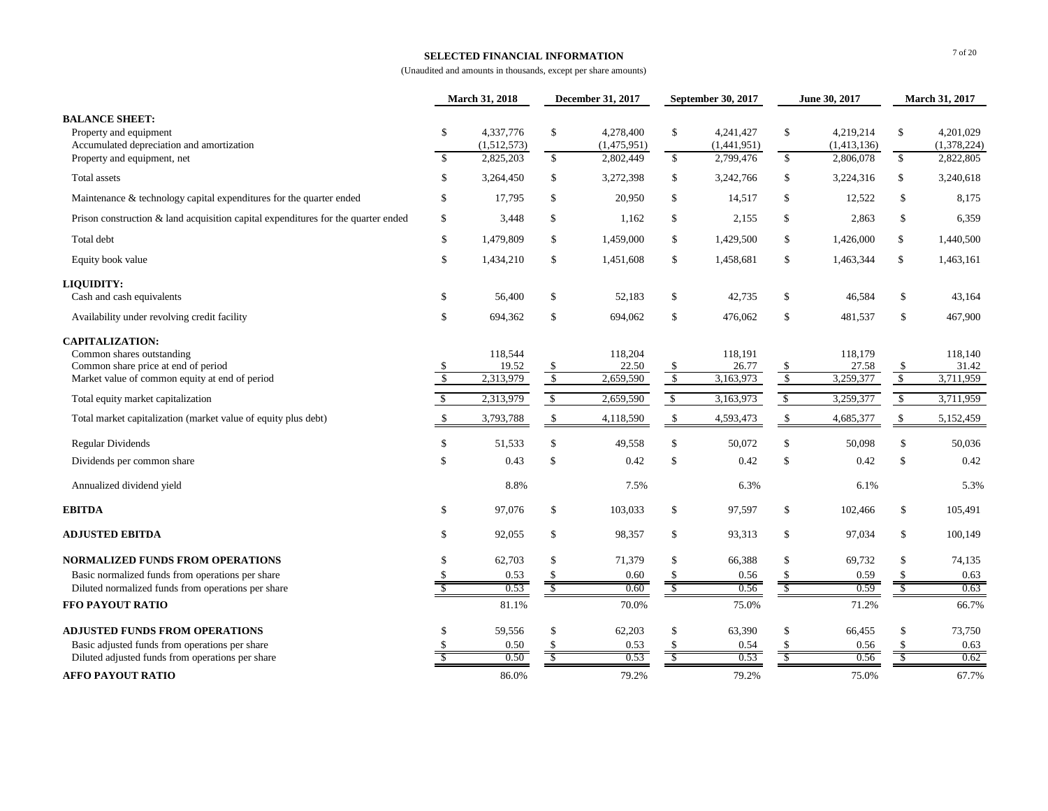# **SELECTED FINANCIAL INFORMATION**

|                                                                                                                                              | <b>March 31, 2018</b>           |                                       |                               | December 31, 2017                     |                     | September 30, 2017                    |                  | June 30, 2017                         |                               | March 31, 2017                        |  |
|----------------------------------------------------------------------------------------------------------------------------------------------|---------------------------------|---------------------------------------|-------------------------------|---------------------------------------|---------------------|---------------------------------------|------------------|---------------------------------------|-------------------------------|---------------------------------------|--|
| <b>BALANCE SHEET:</b><br>Property and equipment<br>Accumulated depreciation and amortization<br>Property and equipment, net                  | \$<br>$\mathbf S$               | 4,337,776<br>(1,512,573)<br>2,825,203 | \$<br>$\mathbb{S}$            | 4,278,400<br>(1,475,951)<br>2,802,449 | \$<br>$\mathcal{S}$ | 4,241,427<br>(1,441,951)<br>2,799,476 | \$<br>\$         | 4,219,214<br>(1,413,136)<br>2,806,078 | \$<br>$\mathbb{S}$            | 4,201,029<br>(1,378,224)<br>2,822,805 |  |
| Total assets                                                                                                                                 | \$                              | 3,264,450                             | \$                            | 3,272,398                             | \$                  | 3,242,766                             | \$               | 3,224,316                             | \$                            | 3,240,618                             |  |
| Maintenance & technology capital expenditures for the quarter ended                                                                          | \$                              | 17,795                                | \$                            | 20,950                                | \$                  | 14,517                                | \$               | 12,522                                | \$                            | 8,175                                 |  |
| Prison construction & land acquisition capital expenditures for the quarter ended                                                            | \$                              | 3,448                                 | \$                            | 1,162                                 | \$                  | 2,155                                 | \$               | 2,863                                 | \$                            | 6,359                                 |  |
| Total debt                                                                                                                                   | \$                              | 1,479,809                             | \$                            | 1,459,000                             | \$                  | 1,429,500                             | \$               | 1,426,000                             | \$                            | 1,440,500                             |  |
| Equity book value                                                                                                                            | \$                              | 1,434,210                             | \$                            | 1,451,608                             | \$                  | 1,458,681                             | \$               | 1,463,344                             | \$                            | 1,463,161                             |  |
| LIQUIDITY:                                                                                                                                   |                                 |                                       |                               |                                       |                     |                                       |                  |                                       |                               |                                       |  |
| Cash and cash equivalents                                                                                                                    | \$                              | 56,400                                | \$                            | 52,183                                | \$                  | 42,735                                | \$               | 46,584                                | \$                            | 43,164                                |  |
| Availability under revolving credit facility                                                                                                 | $\mathbb{S}$                    | 694,362                               | \$                            | 694,062                               | $\mathsf{\$}$       | 476,062                               | $\mathbf S$      | 481,537                               | \$                            | 467,900                               |  |
| <b>CAPITALIZATION:</b><br>Common shares outstanding<br>Common share price at end of period<br>Market value of common equity at end of period | -\$<br>$\overline{\mathcal{S}}$ | 118,544<br>19.52<br>2,313,979         | \$<br>$\sqrt[6]{\frac{1}{2}}$ | 118,204<br>22.50<br>2,659,590         | \$<br>$\sqrt{3}$    | 118,191<br>26.77<br>3,163,973         | \$<br>$\sqrt{3}$ | 118,179<br>27.58<br>3,259,377         | \$<br>$\sqrt[6]{\frac{1}{2}}$ | 118,140<br>31.42<br>3,711,959         |  |
| Total equity market capitalization                                                                                                           | $\mathbb{S}$                    | 2,313,979                             | $\sqrt{3}$                    | 2,659,590                             | $\sqrt{3}$          | 3,163,973                             | $\mathbb{S}$     | 3,259,377                             | \$                            | 3,711,959                             |  |
| Total market capitalization (market value of equity plus debt)                                                                               | <sup>\$</sup>                   | 3,793,788                             | \$                            | 4,118,590                             | \$                  | 4,593,473                             | \$               | 4,685,377                             | \$                            | 5,152,459                             |  |
| Regular Dividends                                                                                                                            | \$                              | 51,533                                | \$                            | 49,558                                | \$                  | 50,072                                | \$               | 50,098                                | \$                            | 50,036                                |  |
| Dividends per common share                                                                                                                   | $\mathbf S$                     | 0.43                                  | <sup>\$</sup>                 | 0.42                                  | \$                  | 0.42                                  | <sup>\$</sup>    | 0.42                                  | \$                            | 0.42                                  |  |
| Annualized dividend yield                                                                                                                    |                                 | 8.8%                                  |                               | 7.5%                                  |                     | 6.3%                                  |                  | 6.1%                                  |                               | 5.3%                                  |  |
| <b>EBITDA</b>                                                                                                                                | \$                              | 97,076                                | \$                            | 103,033                               | \$                  | 97,597                                | \$               | 102,466                               | \$                            | 105,491                               |  |
| <b>ADJUSTED EBITDA</b>                                                                                                                       | \$                              | 92,055                                | \$                            | 98,357                                | \$                  | 93,313                                | \$               | 97,034                                | \$                            | 100,149                               |  |
| <b>NORMALIZED FUNDS FROM OPERATIONS</b>                                                                                                      |                                 | 62,703                                | \$                            | 71,379                                | \$                  | 66,388                                | \$               | 69,732                                | \$                            | 74,135                                |  |
| Basic normalized funds from operations per share                                                                                             |                                 | 0.53                                  |                               | 0.60                                  |                     | 0.56                                  |                  | 0.59                                  | \$                            | 0.63                                  |  |
| Diluted normalized funds from operations per share                                                                                           |                                 | 0.53                                  | S                             | 0.60                                  | S                   | 0.56                                  | -S               | 0.59                                  | \$                            | 0.63                                  |  |
| FFO PAYOUT RATIO                                                                                                                             |                                 | 81.1%                                 |                               | 70.0%                                 |                     | 75.0%                                 |                  | 71.2%                                 |                               | 66.7%                                 |  |
| <b>ADJUSTED FUNDS FROM OPERATIONS</b>                                                                                                        | \$                              | 59,556                                | \$                            | 62,203                                | $\mathbb S$         | 63,390                                | \$               | 66,455                                | \$                            | 73,750                                |  |
| Basic adjusted funds from operations per share                                                                                               |                                 | 0.50                                  | -S                            | 0.53                                  | \$                  | 0.54                                  | <b>S</b>         | 0.56                                  | \$                            | 0.63                                  |  |
| Diluted adjusted funds from operations per share                                                                                             |                                 | 0.50                                  | $\overline{\mathcal{S}}$      | 0.53                                  |                     | 0.53                                  | \$               | 0.56                                  | \$                            | 0.62                                  |  |
| <b>AFFO PAYOUT RATIO</b>                                                                                                                     |                                 | 86.0%                                 |                               | 79.2%                                 |                     | 79.2%                                 |                  | 75.0%                                 |                               | 67.7%                                 |  |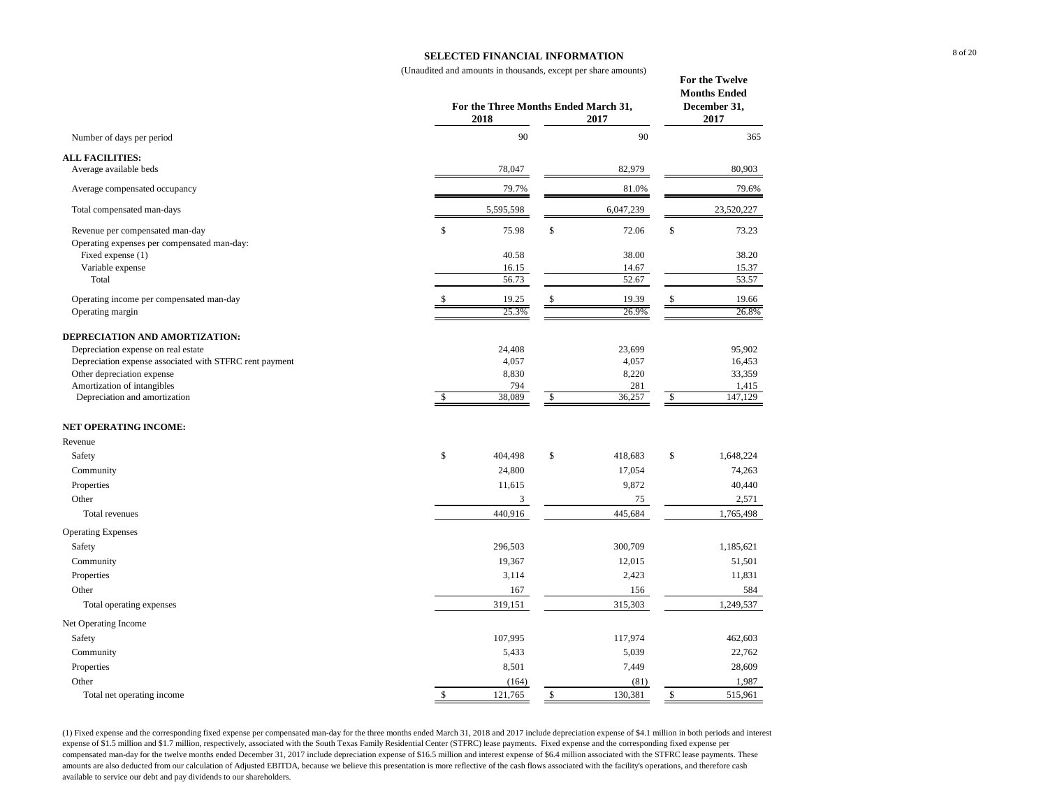#### **SELECTED FINANCIAL INFORMATION**

(Unaudited and amounts in thousands, except per share amounts)

**For the Twelve** 

|                                                         | For the Three Months Ended March 31,<br>2018<br>2017 |    |                |    |                |  |  |
|---------------------------------------------------------|------------------------------------------------------|----|----------------|----|----------------|--|--|
| Number of days per period                               | 90                                                   |    | 90             |    | 365            |  |  |
| <b>ALL FACILITIES:</b>                                  |                                                      |    |                |    |                |  |  |
| Average available beds                                  | 78,047                                               |    | 82,979         |    | 80,903         |  |  |
| Average compensated occupancy                           | 79.7%                                                |    | 81.0%          |    | 79.6%          |  |  |
| Total compensated man-days                              | 5,595,598                                            |    | 6,047,239      |    | 23,520,227     |  |  |
| Revenue per compensated man-day                         | \$<br>75.98                                          | \$ | 72.06          | \$ | 73.23          |  |  |
| Operating expenses per compensated man-day:             |                                                      |    |                |    |                |  |  |
| Fixed expense (1)                                       | 40.58                                                |    | 38.00          |    | 38.20          |  |  |
| Variable expense<br>Total                               | 16.15<br>56.73                                       |    | 14.67<br>52.67 |    | 15.37<br>53.57 |  |  |
|                                                         |                                                      |    |                |    |                |  |  |
| Operating income per compensated man-day                | \$<br>19.25                                          | \$ | 19.39          | \$ | 19.66          |  |  |
| Operating margin                                        | 25.3%                                                |    | 26.9%          |    | 26.8%          |  |  |
| DEPRECIATION AND AMORTIZATION:                          |                                                      |    |                |    |                |  |  |
| Depreciation expense on real estate                     | 24,408                                               |    | 23,699         |    | 95,902         |  |  |
| Depreciation expense associated with STFRC rent payment | 4,057                                                |    | 4,057          |    | 16,453         |  |  |
| Other depreciation expense                              | 8,830                                                |    | 8,220          |    | 33,359         |  |  |
| Amortization of intangibles                             | 794                                                  |    | 281            |    | 1,415          |  |  |
| Depreciation and amortization                           | \$<br>38,089                                         | \$ | 36,257         | \$ | 147,129        |  |  |
| NET OPERATING INCOME:                                   |                                                      |    |                |    |                |  |  |
| Revenue                                                 |                                                      |    |                |    |                |  |  |
| Safety                                                  | \$<br>404,498                                        | \$ | 418,683        | \$ | 1,648,224      |  |  |
| Community                                               | 24,800                                               |    | 17,054         |    | 74,263         |  |  |
| Properties                                              | 11,615                                               |    | 9,872          |    | 40,440         |  |  |
| Other                                                   | 3                                                    |    | 75             |    | 2,571          |  |  |
| Total revenues                                          | 440,916                                              |    | 445,684        |    | 1,765,498      |  |  |
| <b>Operating Expenses</b>                               |                                                      |    |                |    |                |  |  |
| Safety                                                  | 296,503                                              |    | 300,709        |    | 1,185,621      |  |  |
| Community                                               | 19,367                                               |    | 12,015         |    | 51,501         |  |  |
| Properties                                              | 3,114                                                |    | 2,423          |    | 11,831         |  |  |
| Other                                                   | 167                                                  |    | 156            |    | 584            |  |  |
| Total operating expenses                                | 319,151                                              |    | 315,303        |    | 1,249,537      |  |  |
| Net Operating Income                                    |                                                      |    |                |    |                |  |  |
| Safety                                                  | 107,995                                              |    | 117,974        |    | 462,603        |  |  |
| Community                                               | 5,433                                                |    | 5,039          |    | 22,762         |  |  |
| Properties                                              | 8,501                                                |    | 7,449          |    | 28,609         |  |  |
| Other                                                   | (164)                                                |    | (81)           |    | 1,987          |  |  |
| Total net operating income                              | \$<br>121,765                                        | \$ | 130,381        | \$ | 515,961        |  |  |

(1) Fixed expense and the corresponding fixed expense per compensated man-day for the three months ended March 31, 2018 and 2017 include depreciation expense of \$4.1 million in both periods and interest expense of \$1.5 million and \$1.7 million, respectively, associated with the South Texas Family Residential Center (STFRC) lease payments. Fixed expense and the corresponding fixed expense per compensated man-day for the twelve months ended December 31, 2017 include depreciation expense of \$16.5 million and interest expense of \$6.4 million associated with the STFRC lease payments. These amounts are also deducted from our calculation of Adjusted EBITDA, because we believe this presentation is more reflective of the cash flows associated with the facility's operations, and therefore cash available to service our debt and pay dividends to our shareholders.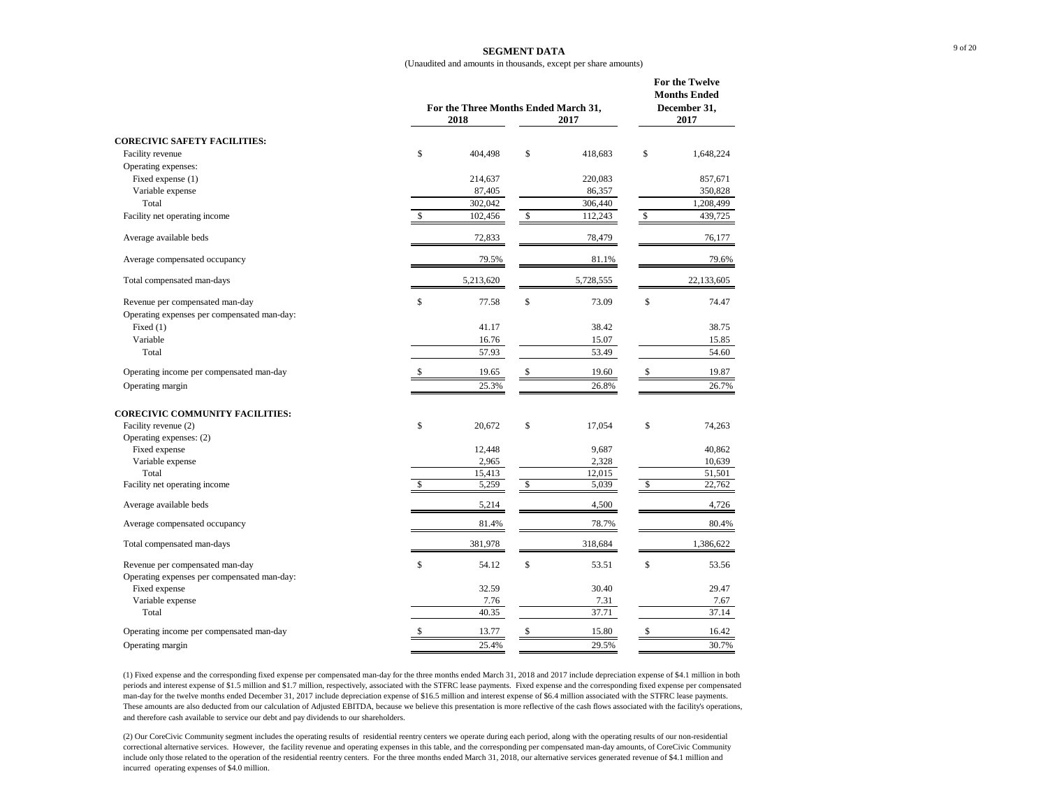#### **SEGMENT DATA**

#### (Unaudited and amounts in thousands, except per share amounts)

|                                             |                    | For the Three Months Ended March 31,<br>2018<br>2017 |    |               |    |            |  |  |
|---------------------------------------------|--------------------|------------------------------------------------------|----|---------------|----|------------|--|--|
| <b>CORECIVIC SAFETY FACILITIES:</b>         |                    |                                                      |    |               |    |            |  |  |
| Facility revenue                            | \$                 | 404,498                                              | \$ | 418,683       | \$ | 1,648,224  |  |  |
| Operating expenses:                         |                    |                                                      |    |               |    |            |  |  |
| Fixed expense (1)                           |                    | 214,637                                              |    | 220,083       |    | 857,671    |  |  |
| Variable expense                            |                    | 87,405                                               |    | 86,357        |    | 350,828    |  |  |
| Total                                       |                    | 302,042                                              |    | 306,440       |    | 1,208,499  |  |  |
| Facility net operating income               | $\mathbf{\hat{S}}$ | 102,456                                              | \$ | 112,243       | \$ | 439,725    |  |  |
| Average available beds                      |                    | 72,833                                               |    | 78,479        |    | 76,177     |  |  |
| Average compensated occupancy               |                    | 79.5%                                                |    | 81.1%         |    | 79.6%      |  |  |
| Total compensated man-days                  |                    | 5,213,620                                            |    | 5,728,555     |    | 22,133,605 |  |  |
| Revenue per compensated man-day             | \$                 | 77.58                                                | \$ | 73.09         | \$ | 74.47      |  |  |
| Operating expenses per compensated man-day: |                    |                                                      |    |               |    |            |  |  |
| Fixed $(1)$                                 |                    | 41.17                                                |    | 38.42         |    | 38.75      |  |  |
| Variable                                    |                    | 16.76                                                |    | 15.07         |    | 15.85      |  |  |
| Total                                       |                    | 57.93                                                |    | 53.49         |    | 54.60      |  |  |
| Operating income per compensated man-day    |                    | 19.65                                                | \$ | 19.60         |    | 19.87      |  |  |
| Operating margin                            |                    | 25.3%                                                |    | 26.8%         |    | 26.7%      |  |  |
| <b>CORECIVIC COMMUNITY FACILITIES:</b>      |                    |                                                      |    |               |    |            |  |  |
| Facility revenue (2)                        | \$                 | 20,672                                               | \$ | 17,054        | \$ | 74,263     |  |  |
| Operating expenses: (2)                     |                    |                                                      |    |               |    |            |  |  |
| Fixed expense                               |                    | 12,448                                               |    | 9,687         |    | 40,862     |  |  |
| Variable expense                            |                    | 2,965                                                |    | 2,328         |    | 10,639     |  |  |
| Total                                       |                    | 15,413                                               |    | 12,015        |    | 51,501     |  |  |
| Facility net operating income               | \$                 | 5,259                                                | \$ | 5,039         | S. | 22,762     |  |  |
| Average available beds                      |                    | 5,214                                                |    | 4,500         |    | 4,726      |  |  |
| Average compensated occupancy               |                    | 81.4%                                                |    | 78.7%         |    | 80.4%      |  |  |
| Total compensated man-days                  |                    | 381,978                                              |    | 318,684       |    | 1,386,622  |  |  |
| Revenue per compensated man-day             | \$                 | 54.12                                                | \$ | 53.51         | \$ | 53.56      |  |  |
| Operating expenses per compensated man-day: |                    | 32.59                                                |    | 30.40         |    | 29.47      |  |  |
| Fixed expense<br>Variable expense           |                    | 7.76                                                 |    |               |    | 7.67       |  |  |
| Total                                       |                    | 40.35                                                |    | 7.31<br>37.71 |    | 37.14      |  |  |
| Operating income per compensated man-day    | \$                 | 13.77                                                | S  | 15.80         | \$ | 16.42      |  |  |
| Operating margin                            |                    | 25.4%                                                |    | 29.5%         |    | 30.7%      |  |  |
|                                             |                    |                                                      |    |               |    |            |  |  |

(1) Fixed expense and the corresponding fixed expense per compensated man-day for the three months ended March 31, 2018 and 2017 include depreciation expense of \$4.1 million in both periods and interest expense of \$1.5 million and \$1.7 million, respectively, associated with the STFRC lease payments. Fixed expense and the corresponding fixed expense per compensated man-day for the twelve months ended December 31, 2017 include depreciation expense of \$16.5 million and interest expense of \$6.4 million associated with the STFRC lease payments. These amounts are also deducted from our calculation of Adjusted EBITDA, because we believe this presentation is more reflective of the cash flows associated with the facility's operations, and therefore cash available to service our debt and pay dividends to our shareholders.

(2) Our CoreCivic Community segment includes the operating results of residential reentry centers we operate during each period, along with the operating results of our non-residential correctional alternative services. However, the facility revenue and operating expenses in this table, and the corresponding per compensated man-day amounts, of CoreCivic Community include only those related to the operation of the residential reentry centers. For the three months ended March 31, 2018, our alternative services generated revenue of \$4.1 million and incurred operating expenses of \$4.0 million.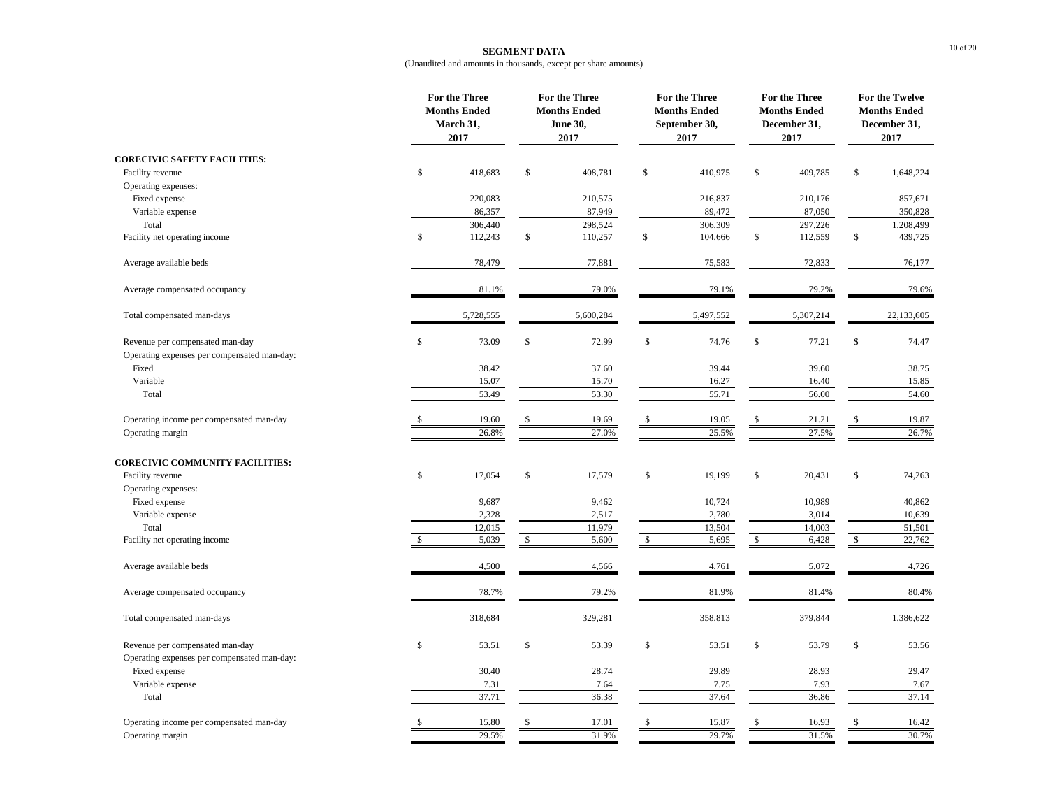### **SEGMENT DATA**

|                                             |               | For the Three<br><b>Months Ended</b><br>March 31,<br>2017 |    | For the Three<br><b>Months Ended</b><br>June 30,<br>2017 |                    | For the Three<br><b>Months Ended</b><br>September 30,<br>2017 |              | For the Three<br><b>Months Ended</b><br>December 31,<br>2017 |              | For the Twelve<br><b>Months Ended</b><br>December 31,<br>2017 |  |
|---------------------------------------------|---------------|-----------------------------------------------------------|----|----------------------------------------------------------|--------------------|---------------------------------------------------------------|--------------|--------------------------------------------------------------|--------------|---------------------------------------------------------------|--|
| <b>CORECIVIC SAFETY FACILITIES:</b>         |               |                                                           |    |                                                          |                    |                                                               |              |                                                              |              |                                                               |  |
| Facility revenue                            | \$            | 418,683                                                   | \$ | 408,781                                                  | \$                 | 410,975                                                       | \$           | 409,785                                                      | \$           | 1,648,224                                                     |  |
| Operating expenses:                         |               |                                                           |    |                                                          |                    |                                                               |              |                                                              |              |                                                               |  |
| Fixed expense                               |               | 220,083                                                   |    | 210,575                                                  |                    | 216,837                                                       |              | 210,176                                                      |              | 857,671                                                       |  |
| Variable expense                            |               | 86,357                                                    |    | 87,949                                                   |                    | 89,472                                                        |              | 87,050                                                       |              | 350,828                                                       |  |
| Total                                       |               | 306,440                                                   |    | 298,524                                                  |                    | 306,309                                                       |              | 297,226                                                      |              | 1,208,499                                                     |  |
| Facility net operating income               | <sup>\$</sup> | 112,243                                                   | \$ | 110,257                                                  | \$                 | 104,666                                                       | \$           | 112,559                                                      | \$           | 439,725                                                       |  |
| Average available beds                      |               | 78,479                                                    |    | 77,881                                                   |                    | 75,583                                                        |              | 72,833                                                       |              | 76,177                                                        |  |
| Average compensated occupancy               |               | 81.1%                                                     |    | 79.0%                                                    |                    | 79.1%                                                         |              | 79.2%                                                        |              | 79.6%                                                         |  |
| Total compensated man-days                  |               | 5,728,555                                                 |    | 5,600,284                                                |                    | 5,497,552                                                     |              | 5,307,214                                                    |              | 22,133,605                                                    |  |
| Revenue per compensated man-day             | \$            | 73.09                                                     | \$ | 72.99                                                    | $\mathbb{S}$       | 74.76                                                         | \$           | 77.21                                                        | \$           | 74.47                                                         |  |
| Operating expenses per compensated man-day: |               |                                                           |    |                                                          |                    |                                                               |              |                                                              |              |                                                               |  |
| Fixed                                       |               | 38.42                                                     |    | 37.60                                                    |                    | 39.44                                                         |              | 39.60                                                        |              | 38.75                                                         |  |
| Variable                                    |               | 15.07                                                     |    | 15.70                                                    |                    | 16.27                                                         |              | 16.40                                                        |              | 15.85                                                         |  |
| Total                                       |               | 53.49                                                     |    | 53.30                                                    |                    | 55.71                                                         |              | 56.00                                                        |              | 54.60                                                         |  |
| Operating income per compensated man-day    | -S            | 19.60                                                     | \$ | 19.69                                                    | \$                 | 19.05                                                         |              | 21.21                                                        | \$           | 19.87                                                         |  |
| Operating margin                            |               | 26.8%                                                     |    | 27.0%                                                    |                    | 25.5%                                                         |              | 27.5%                                                        |              | 26.7%                                                         |  |
| <b>CORECIVIC COMMUNITY FACILITIES:</b>      |               |                                                           |    |                                                          |                    |                                                               |              |                                                              |              |                                                               |  |
| Facility revenue                            | \$            | 17,054                                                    | \$ | 17,579                                                   | \$                 | 19,199                                                        | \$           | 20,431                                                       | \$           | 74,263                                                        |  |
| Operating expenses:                         |               |                                                           |    |                                                          |                    |                                                               |              |                                                              |              |                                                               |  |
| Fixed expense                               |               | 9,687                                                     |    | 9,462                                                    |                    | 10,724                                                        |              | 10,989                                                       |              | 40,862                                                        |  |
| Variable expense                            |               | 2,328                                                     |    | 2,517                                                    |                    | 2,780                                                         |              | 3,014                                                        |              | 10,639                                                        |  |
| Total                                       |               | 12,015                                                    |    | 11,979                                                   |                    | 13,504                                                        |              | 14,003                                                       |              | 51,501                                                        |  |
| Facility net operating income               |               | 5,039                                                     | \$ | 5,600                                                    | \$                 | 5,695                                                         | $\mathbb{S}$ | 6,428                                                        | $\mathbb{S}$ | 22,762                                                        |  |
| Average available beds                      |               | 4,500                                                     |    | 4,566                                                    |                    | 4,761                                                         |              | 5,072                                                        |              | 4,726                                                         |  |
| Average compensated occupancy               |               | 78.7%                                                     |    | 79.2%                                                    |                    | 81.9%                                                         |              | 81.4%                                                        |              | 80.4%                                                         |  |
| Total compensated man-days                  |               | 318,684                                                   |    | 329,281                                                  |                    | 358,813                                                       |              | 379,844                                                      |              | 1,386,622                                                     |  |
| Revenue per compensated man-day             | \$            | 53.51                                                     | \$ | 53.39                                                    | \$                 | 53.51                                                         | \$           | 53.79                                                        | \$           | 53.56                                                         |  |
| Operating expenses per compensated man-day: |               |                                                           |    |                                                          |                    |                                                               |              |                                                              |              |                                                               |  |
| Fixed expense                               |               | 30.40                                                     |    | 28.74                                                    |                    | 29.89                                                         |              | 28.93                                                        |              | 29.47                                                         |  |
| Variable expense                            |               | 7.31                                                      |    | 7.64                                                     |                    | 7.75                                                          |              | 7.93                                                         |              | 7.67                                                          |  |
| Total                                       |               | 37.71                                                     |    | 36.38                                                    |                    | 37.64                                                         |              | 36.86                                                        |              | 37.14                                                         |  |
| Operating income per compensated man-day    | \$            | 15.80                                                     | \$ | 17.01                                                    | $\mathbf{\hat{S}}$ | 15.87                                                         |              | 16.93                                                        |              | 16.42                                                         |  |
| Operating margin                            |               | 29.5%                                                     |    | 31.9%                                                    |                    | 29.7%                                                         |              | 31.5%                                                        |              | 30.7%                                                         |  |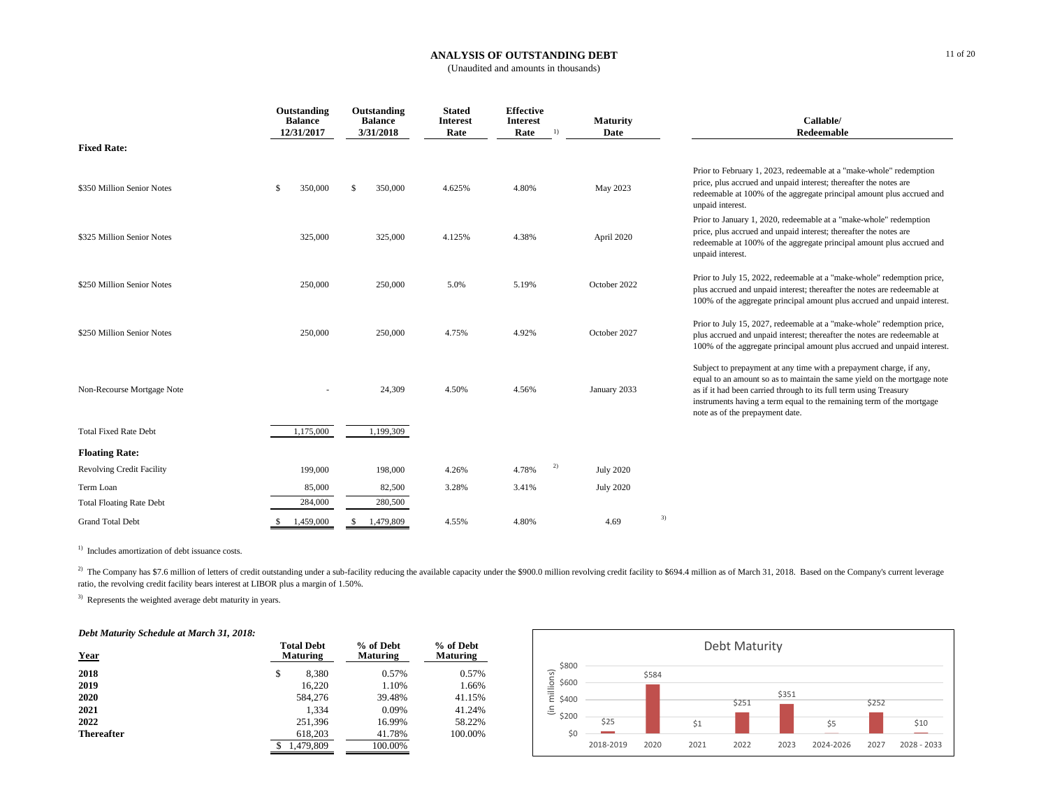### **ANALYSIS OF OUTSTANDING DEBT**

(Unaudited and amounts in thousands)

|                                              | Outstanding<br><b>Balance</b><br>12/31/2017 | Outstanding<br><b>Balance</b><br>3/31/2018 | <b>Stated</b><br><b>Interest</b><br>Rate | <b>Effective</b><br><b>Interest</b><br>Rate<br>1) | <b>Maturity</b><br>Date | Callable/<br>Redeemable                                                                                                                                                                                                                                                                                                          |
|----------------------------------------------|---------------------------------------------|--------------------------------------------|------------------------------------------|---------------------------------------------------|-------------------------|----------------------------------------------------------------------------------------------------------------------------------------------------------------------------------------------------------------------------------------------------------------------------------------------------------------------------------|
| <b>Fixed Rate:</b>                           |                                             |                                            |                                          |                                                   |                         |                                                                                                                                                                                                                                                                                                                                  |
| \$350 Million Senior Notes                   | 350,000<br>S                                | 350,000<br><sup>\$</sup>                   | 4.625%                                   | 4.80%                                             | May 2023                | Prior to February 1, 2023, redeemable at a "make-whole" redemption<br>price, plus accrued and unpaid interest; thereafter the notes are<br>redeemable at 100% of the aggregate principal amount plus accrued and<br>unpaid interest.                                                                                             |
| \$325 Million Senior Notes                   | 325,000                                     | 325,000                                    | 4.125%                                   | 4.38%                                             | April 2020              | Prior to January 1, 2020, redeemable at a "make-whole" redemption<br>price, plus accrued and unpaid interest; thereafter the notes are<br>redeemable at 100% of the aggregate principal amount plus accrued and<br>unpaid interest.                                                                                              |
| \$250 Million Senior Notes                   | 250,000                                     | 250,000                                    | 5.0%                                     | 5.19%                                             | October 2022            | Prior to July 15, 2022, redeemable at a "make-whole" redemption price,<br>plus accrued and unpaid interest; thereafter the notes are redeemable at<br>100% of the aggregate principal amount plus accrued and unpaid interest.                                                                                                   |
| \$250 Million Senior Notes                   | 250,000                                     | 250,000                                    | 4.75%                                    | 4.92%                                             | October 2027            | Prior to July 15, 2027, redeemable at a "make-whole" redemption price,<br>plus accrued and unpaid interest; thereafter the notes are redeemable at<br>100% of the aggregate principal amount plus accrued and unpaid interest.                                                                                                   |
| Non-Recourse Mortgage Note                   |                                             | 24,309                                     | 4.50%                                    | 4.56%                                             | January 2033            | Subject to prepayment at any time with a prepayment charge, if any,<br>equal to an amount so as to maintain the same yield on the mortgage note<br>as if it had been carried through to its full term using Treasury<br>instruments having a term equal to the remaining term of the mortgage<br>note as of the prepayment date. |
| <b>Total Fixed Rate Debt</b>                 | 1,175,000                                   | 1,199,309                                  |                                          |                                                   |                         |                                                                                                                                                                                                                                                                                                                                  |
| <b>Floating Rate:</b>                        |                                             |                                            |                                          |                                                   |                         |                                                                                                                                                                                                                                                                                                                                  |
| <b>Revolving Credit Facility</b>             | 199,000                                     | 198,000                                    | 4.26%                                    | 2)<br>4.78%                                       | <b>July 2020</b>        |                                                                                                                                                                                                                                                                                                                                  |
| Term Loan<br><b>Total Floating Rate Debt</b> | 85,000<br>284,000                           | 82,500<br>280,500                          | 3.28%                                    | 3.41%                                             | <b>July 2020</b>        |                                                                                                                                                                                                                                                                                                                                  |
| <b>Grand Total Debt</b>                      | 1,459,000<br>S                              | 1,479,809<br>\$                            | 4.55%                                    | 4.80%                                             | 4.69                    | 3)                                                                                                                                                                                                                                                                                                                               |

<sup>1)</sup> Includes amortization of debt issuance costs.

<sup>2)</sup> The Company has \$7.6 million of letters of credit outstanding under a sub-facility reducing the available capacity under the \$900.0 million revolving credit facility to \$694.4 million as of March 31, 2018. Based on th ratio, the revolving credit facility bears interest at LIBOR plus a margin of 1.50%.

<sup>3)</sup> Represents the weighted average debt maturity in years.

#### *Debt Maturity Schedule at March 31, 2018:*

| <b>Total Debt</b><br><b>Maturing</b> | % of Debt<br><b>Maturing</b> | % of Debt<br><b>Maturing</b> |  |
|--------------------------------------|------------------------------|------------------------------|--|
| \$<br>8.380                          | 0.57%                        | 0.57%                        |  |
| 16.220                               | 1.10%                        | 1.66%                        |  |
| 584,276                              | 39.48%                       | 41.15%                       |  |
| 1.334                                | 0.09%                        | 41.24%                       |  |
| 251,396                              | 16.99%                       | 58.22%                       |  |
| 618,203                              | 41.78%                       | 100.00%                      |  |
| 1,479,809                            | 100.00%                      |                              |  |
|                                      |                              |                              |  |

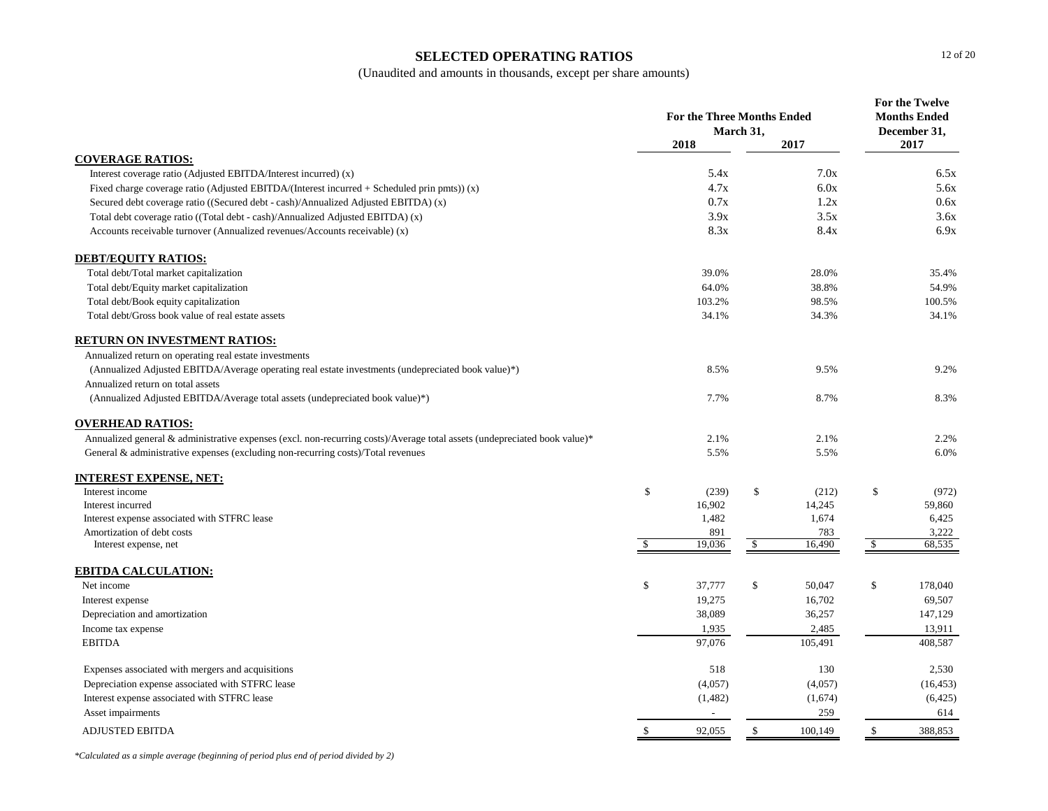# **SELECTED OPERATING RATIOS**

(Unaudited and amounts in thousands, except per share amounts)

|                                                                                                                           | <b>For the Three Months Ended</b><br>March 31, |         |              | <b>For the Twelve</b><br><b>Months Ended</b><br>December 31, |              |           |
|---------------------------------------------------------------------------------------------------------------------------|------------------------------------------------|---------|--------------|--------------------------------------------------------------|--------------|-----------|
|                                                                                                                           |                                                | 2018    |              | 2017                                                         |              | 2017      |
| <b>COVERAGE RATIOS:</b>                                                                                                   |                                                |         |              |                                                              |              |           |
| Interest coverage ratio (Adjusted EBITDA/Interest incurred) (x)                                                           |                                                | 5.4x    |              | 7.0x                                                         |              | 6.5x      |
| Fixed charge coverage ratio (Adjusted EBITDA/(Interest incurred + Scheduled prin pmts)) (x)                               |                                                | 4.7x    |              | 6.0x                                                         |              | 5.6x      |
| Secured debt coverage ratio ((Secured debt - cash)/Annualized Adjusted EBITDA) (x)                                        |                                                | 0.7x    |              | 1.2x                                                         |              | 0.6x      |
| Total debt coverage ratio ((Total debt - cash)/Annualized Adjusted EBITDA) (x)                                            |                                                | 3.9x    |              | 3.5x                                                         |              | 3.6x      |
| Accounts receivable turnover (Annualized revenues/Accounts receivable) (x)                                                |                                                | 8.3x    |              | 8.4x                                                         |              | 6.9x      |
| <b>DEBT/EQUITY RATIOS:</b>                                                                                                |                                                |         |              |                                                              |              |           |
| Total debt/Total market capitalization                                                                                    |                                                | 39.0%   |              | 28.0%                                                        |              | 35.4%     |
| Total debt/Equity market capitalization                                                                                   |                                                | 64.0%   |              | 38.8%                                                        |              | 54.9%     |
| Total debt/Book equity capitalization                                                                                     |                                                | 103.2%  |              | 98.5%                                                        |              | 100.5%    |
| Total debt/Gross book value of real estate assets                                                                         |                                                | 34.1%   |              | 34.3%                                                        |              | 34.1%     |
| RETURN ON INVESTMENT RATIOS:<br>Annualized return on operating real estate investments                                    |                                                |         |              |                                                              |              |           |
| (Annualized Adjusted EBITDA/Average operating real estate investments (undepreciated book value)*)                        |                                                | 8.5%    |              | 9.5%                                                         |              | 9.2%      |
| Annualized return on total assets                                                                                         |                                                |         |              |                                                              |              |           |
| (Annualized Adjusted EBITDA/Average total assets (undepreciated book value)*)                                             |                                                | 7.7%    |              | 8.7%                                                         |              | 8.3%      |
| <b>OVERHEAD RATIOS:</b>                                                                                                   |                                                |         |              |                                                              |              |           |
| Annualized general & administrative expenses (excl. non-recurring costs)/Average total assets (undepreciated book value)* |                                                | 2.1%    |              | 2.1%                                                         |              | 2.2%      |
| General & administrative expenses (excluding non-recurring costs)/Total revenues                                          |                                                | 5.5%    |              | 5.5%                                                         |              | 6.0%      |
| INTEREST EXPENSE, NET:                                                                                                    |                                                |         |              |                                                              |              |           |
| Interest income                                                                                                           | \$                                             | (239)   | \$           | (212)                                                        | \$           | (972)     |
| Interest incurred                                                                                                         |                                                | 16,902  |              | 14,245                                                       |              | 59,860    |
| Interest expense associated with STFRC lease                                                                              |                                                | 1,482   |              | 1,674                                                        |              | 6,425     |
| Amortization of debt costs                                                                                                |                                                | 891     |              | 783                                                          |              | 3,222     |
| Interest expense, net                                                                                                     | \$                                             | 19,036  | \$           | 16,490                                                       | \$           | 68,535    |
| <b>EBITDA CALCULATION:</b>                                                                                                |                                                |         |              |                                                              |              |           |
| Net income                                                                                                                | \$                                             | 37,777  | \$           | 50,047                                                       | $\mathbb{S}$ | 178,040   |
| Interest expense                                                                                                          |                                                | 19,275  |              | 16,702                                                       |              | 69,507    |
| Depreciation and amortization                                                                                             |                                                | 38,089  |              | 36,257                                                       |              | 147,129   |
| Income tax expense                                                                                                        |                                                | 1,935   |              | 2,485                                                        |              | 13,911    |
| <b>EBITDA</b>                                                                                                             |                                                | 97,076  |              | 105,491                                                      |              | 408,587   |
| Expenses associated with mergers and acquisitions                                                                         |                                                | 518     |              | 130                                                          |              | 2,530     |
| Depreciation expense associated with STFRC lease                                                                          |                                                | (4,057) |              | (4,057)                                                      |              | (16, 453) |
| Interest expense associated with STFRC lease                                                                              |                                                | (1,482) |              | (1,674)                                                      |              | (6,425)   |
| Asset impairments                                                                                                         |                                                |         |              | 259                                                          |              | 614       |
| <b>ADJUSTED EBITDA</b>                                                                                                    | $\mathbb{S}$                                   | 92,055  | $\mathbb{S}$ | 100,149                                                      | \$           | 388,853   |

*\*Calculated as a simple average (beginning of period plus end of period divided by 2)*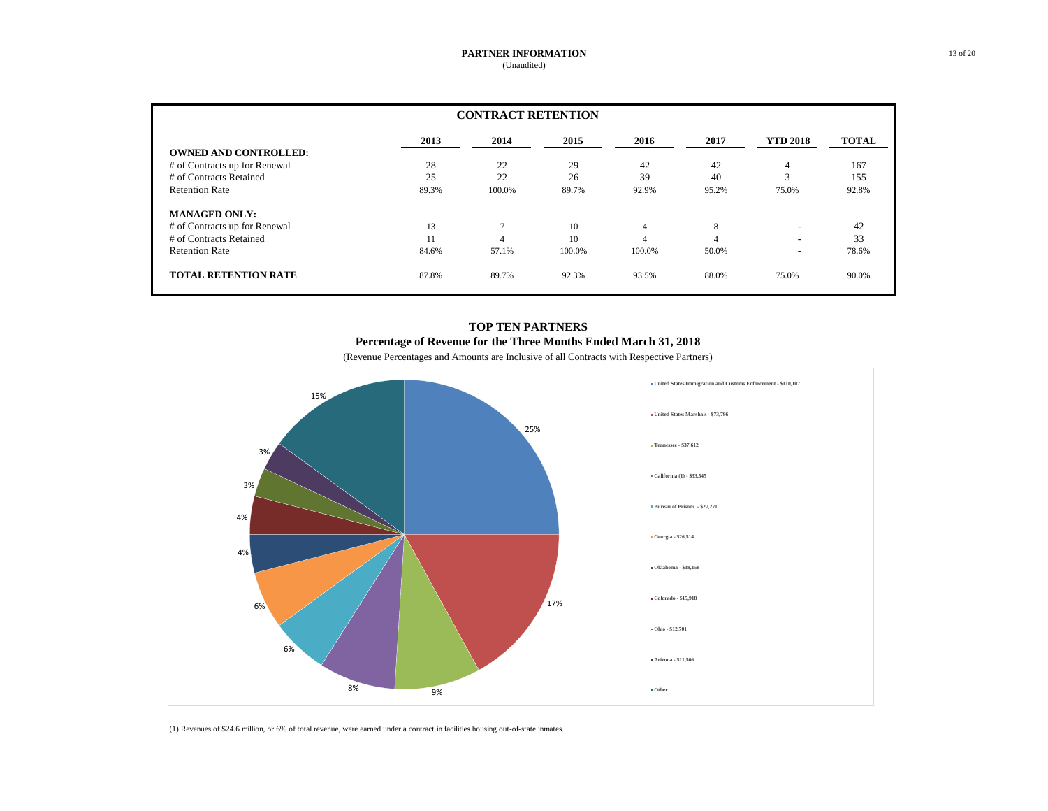| <b>CONTRACT RETENTION</b>     |       |               |        |                |       |                          |              |  |  |
|-------------------------------|-------|---------------|--------|----------------|-------|--------------------------|--------------|--|--|
|                               | 2013  | 2014          | 2015   | 2016           | 2017  | <b>YTD 2018</b>          | <b>TOTAL</b> |  |  |
| <b>OWNED AND CONTROLLED:</b>  |       |               |        |                |       |                          |              |  |  |
| # of Contracts up for Renewal | 28    | 22            | 29     | 42             | 42    | 4                        | 167          |  |  |
| # of Contracts Retained       | 25    | 22            | 26     | 39             | 40    | 3                        | 155          |  |  |
| <b>Retention Rate</b>         | 89.3% | 100.0%        | 89.7%  | 92.9%          | 95.2% | 75.0%                    | 92.8%        |  |  |
| <b>MANAGED ONLY:</b>          |       |               |        |                |       |                          |              |  |  |
| # of Contracts up for Renewal | 13    | $\mathcal{I}$ | 10     | $\overline{4}$ | 8     | $\overline{\phantom{0}}$ | 42           |  |  |
| # of Contracts Retained       | 11    |               | 10     | $\overline{4}$ |       | $\overline{\phantom{0}}$ | 33           |  |  |
| <b>Retention Rate</b>         | 84.6% | 57.1%         | 100.0% | 100.0%         | 50.0% | $\overline{\phantom{a}}$ | 78.6%        |  |  |
| <b>TOTAL RETENTION RATE</b>   | 87.8% | 89.7%         | 92.3%  | 93.5%          | 88.0% | 75.0%                    | 90.0%        |  |  |

# **TOP TEN PARTNERS Percentage of Revenue for the Three Months Ended March 31, 2018**

(Revenue Percentages and Amounts are Inclusive of all Contracts with Respective Partners)



(1) Revenues of \$24.6 million, or 6% of total revenue, were earned under a contract in facilities housing out-of-state inmates.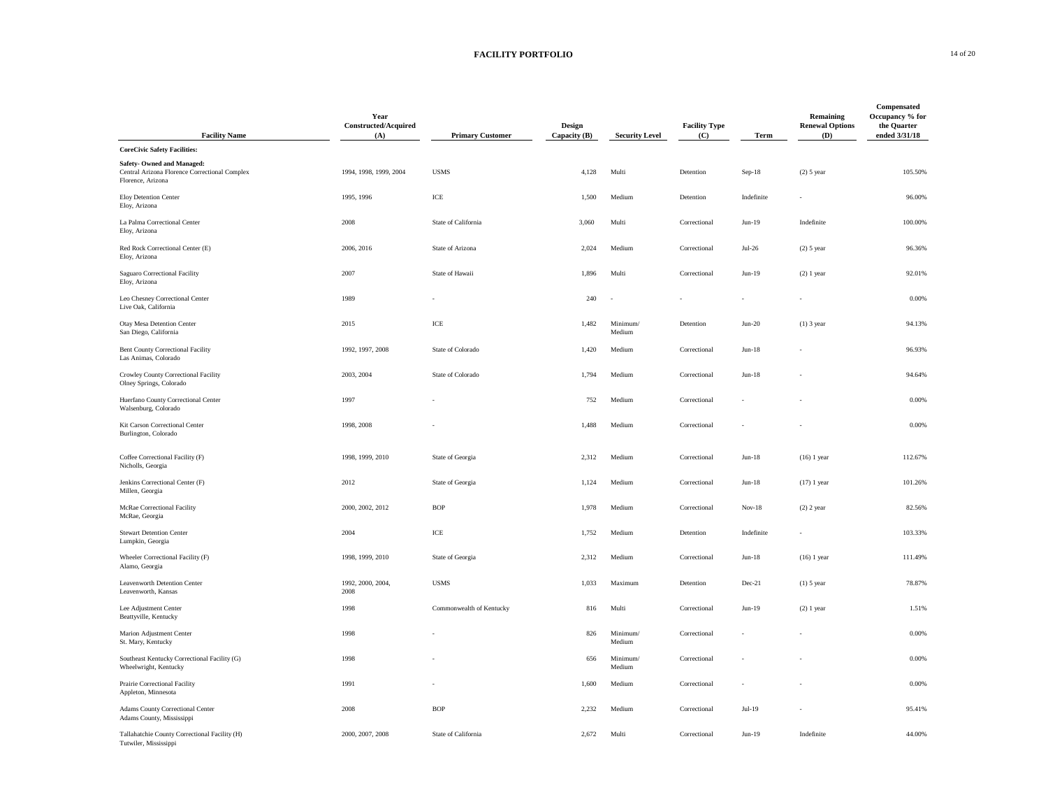# **FACILITY PORTFOLIO** 14 of 20

| <b>Facility Name</b>                                                                             | Year<br>Constructed/Acquired<br>(A) | <b>Primary Customer</b>   | Design<br>Capacity (B) | <b>Security Level</b> | <b>Facility Type</b><br>(C) | Term       | <b>Remaining</b><br><b>Renewal Options</b><br>(D) | Compensated<br>Occupancy % for<br>the Quarter<br>ended 3/31/18 |
|--------------------------------------------------------------------------------------------------|-------------------------------------|---------------------------|------------------------|-----------------------|-----------------------------|------------|---------------------------------------------------|----------------------------------------------------------------|
| <b>CoreCivic Safety Facilities:</b>                                                              |                                     |                           |                        |                       |                             |            |                                                   |                                                                |
| Safety- Owned and Managed:<br>Central Arizona Florence Correctional Complex<br>Florence, Arizona | 1994, 1998, 1999, 2004              | <b>USMS</b>               | 4,128                  | Multi                 | Detention                   | $Sep-18$   | $(2)$ 5 year                                      | 105.50%                                                        |
| Eloy Detention Center<br>Eloy, Arizona                                                           | 1995, 1996                          | ICE                       | 1,500                  | Medium                | Detention                   | Indefinite |                                                   | 96.00%                                                         |
| La Palma Correctional Center<br>Eloy, Arizona                                                    | 2008                                | State of California       | 3,060                  | Multi                 | Correctional                | $Jun-19$   | Indefinite                                        | 100.00%                                                        |
| Red Rock Correctional Center (E)<br>Eloy, Arizona                                                | 2006, 2016                          | State of Arizona          | 2,024                  | Medium                | Correctional                | $Jul-26$   | $(2)$ 5 year                                      | 96.36%                                                         |
| Saguaro Correctional Facility<br>Eloy, Arizona                                                   | 2007                                | State of Hawaii           | 1,896                  | Multi                 | Correctional                | $Jun-19$   | $(2)$ 1 year                                      | 92.01%                                                         |
| Leo Chesney Correctional Center<br>Live Oak, California                                          | 1989                                |                           | 240                    |                       |                             | ä,         |                                                   | 0.00%                                                          |
| Otay Mesa Detention Center<br>San Diego, California                                              | 2015                                | $\ensuremath{\text{ICE}}$ | 1,482                  | Minimum/<br>Medium    | Detention                   | $Jun-20$   | $(1)$ 3 year                                      | 94.13%                                                         |
| Bent County Correctional Facility<br>Las Animas, Colorado                                        | 1992, 1997, 2008                    | State of Colorado         | 1,420                  | Medium                | Correctional                | $Jun-18$   |                                                   | 96.93%                                                         |
| Crowley County Correctional Facility<br>Olney Springs, Colorado                                  | 2003, 2004                          | State of Colorado         | 1,794                  | Medium                | Correctional                | $Jun-18$   |                                                   | 94.64%                                                         |
| Huerfano County Correctional Center<br>Walsenburg, Colorado                                      | 1997                                |                           | 752                    | Medium                | Correctional                |            |                                                   | 0.00%                                                          |
| Kit Carson Correctional Center<br>Burlington, Colorado                                           | 1998, 2008                          |                           | 1,488                  | Medium                | Correctional                |            |                                                   | 0.00%                                                          |
| Coffee Correctional Facility (F)<br>Nicholls, Georgia                                            | 1998, 1999, 2010                    | State of Georgia          | 2,312                  | Medium                | Correctional                | $Jun-18$   | $(16)$ 1 year                                     | 112.67%                                                        |
| Jenkins Correctional Center (F)<br>Millen, Georgia                                               | 2012                                | State of Georgia          | 1,124                  | Medium                | Correctional                | $Jun-18$   | $(17)$ 1 year                                     | 101.26%                                                        |
| McRae Correctional Facility<br>McRae, Georgia                                                    | 2000, 2002, 2012                    | <b>BOP</b>                | 1,978                  | Medium                | Correctional                | $Nov-18$   | $(2)$ 2 year                                      | 82.56%                                                         |
| <b>Stewart Detention Center</b><br>Lumpkin, Georgia                                              | 2004                                | ICE                       | 1,752                  | Medium                | Detention                   | Indefinite |                                                   | 103.33%                                                        |
| Wheeler Correctional Facility (F)<br>Alamo, Georgia                                              | 1998, 1999, 2010                    | State of Georgia          | 2,312                  | Medium                | Correctional                | $Jun-18$   | $(16)$ 1 year                                     | 111.49%                                                        |
| Leavenworth Detention Center<br>Leavenworth, Kansas                                              | 1992, 2000, 2004,<br>2008           | <b>USMS</b>               | 1,033                  | Maximum               | Detention                   | Dec-21     | $(1)$ 5 year                                      | 78.87%                                                         |
| Lee Adjustment Center<br>Beattyville, Kentucky                                                   | 1998                                | Commonwealth of Kentucky  | 816                    | Multi                 | Correctional                | $Jun-19$   | $(2) 1$ year                                      | 1.51%                                                          |
| Marion Adjustment Center<br>St. Mary, Kentucky                                                   | 1998                                |                           | 826                    | Minimum/<br>Medium    | Correctional                |            |                                                   | 0.00%                                                          |
| Southeast Kentucky Correctional Facility (G)<br>Wheelwright, Kentucky                            | 1998                                |                           | 656                    | Minimum/<br>Medium    | Correctional                |            |                                                   | 0.00%                                                          |
| Prairie Correctional Facility<br>Appleton, Minnesota                                             | 1991                                |                           | 1,600                  | Medium                | Correctional                |            |                                                   | 0.00%                                                          |
| Adams County Correctional Center<br>Adams County, Mississippi                                    | 2008                                | <b>BOP</b>                | 2,232                  | Medium                | Correctional                | $Jul-19$   |                                                   | 95.41%                                                         |
| Tallahatchie County Correctional Facility (H)<br>Tutwiler, Mississippi                           | 2000, 2007, 2008                    | State of California       | 2,672                  | Multi                 | Correctional                | $Jun-19$   | Indefinite                                        | 44.00%                                                         |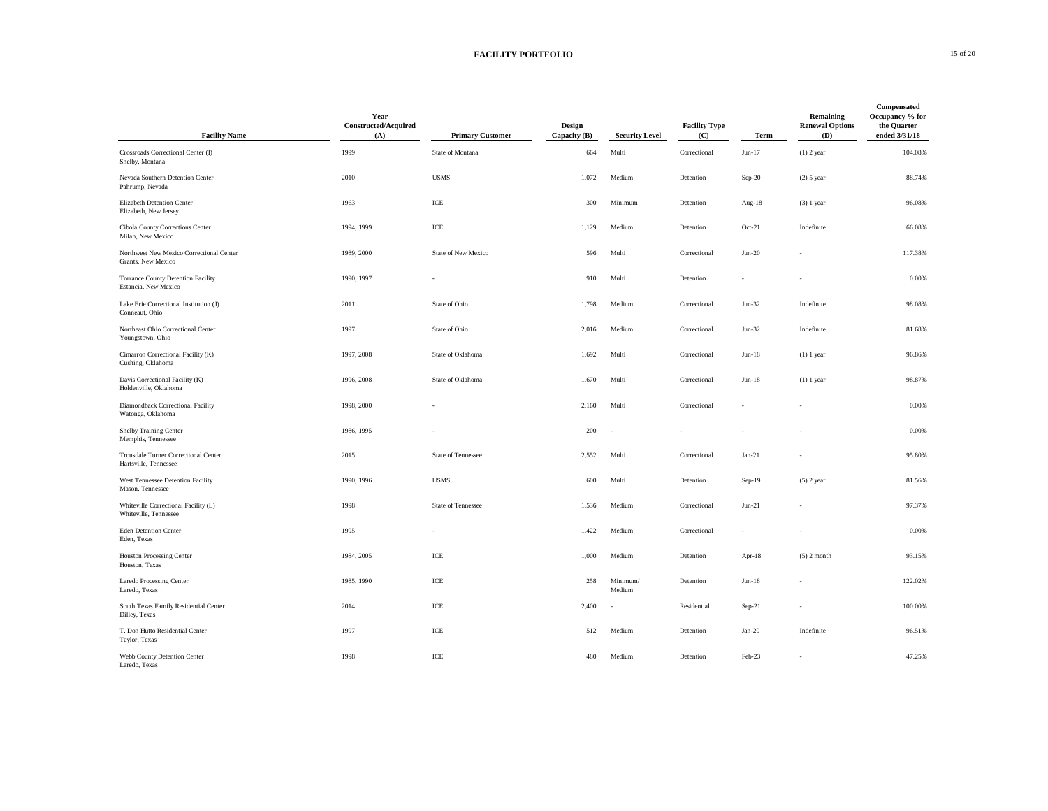# **FACILITY PORTFOLIO** 15 of 20

| <b>Facility Name</b>                                           | Year<br><b>Constructed/Acquired</b><br>(A) | <b>Primary Customer</b>              | Design<br>Capacity (B) | <b>Security Level</b> | <b>Facility Type</b><br>(C) | Term     | Remaining<br><b>Renewal Options</b><br>(D) | Compensated<br>Occupancy % for<br>the Quarter<br>ended 3/31/18 |
|----------------------------------------------------------------|--------------------------------------------|--------------------------------------|------------------------|-----------------------|-----------------------------|----------|--------------------------------------------|----------------------------------------------------------------|
| Crossroads Correctional Center (I)<br>Shelby, Montana          | 1999                                       | State of Montana                     | 664                    | Multi                 | Correctional                | $Jun-17$ | $(1)$ 2 year                               | 104.08%                                                        |
| Nevada Southern Detention Center<br>Pahrump, Nevada            | 2010                                       | <b>USMS</b>                          | 1,072                  | Medium                | Detention                   | $Sep-20$ | $(2)$ 5 year                               | 88.74%                                                         |
| Elizabeth Detention Center<br>Elizabeth, New Jersey            | 1963                                       | $\ensuremath{\textup{\textbf{ICE}}}$ | 300                    | Minimum               | Detention                   | Aug-18   | $(3) 1$ year                               | 96.08%                                                         |
| Cibola County Corrections Center<br>Milan, New Mexico          | 1994, 1999                                 | $\ensuremath{\textup{\textbf{ICE}}}$ | 1,129                  | Medium                | Detention                   | Oct-21   | Indefinite                                 | 66.08%                                                         |
| Northwest New Mexico Correctional Center<br>Grants, New Mexico | 1989, 2000                                 | State of New Mexico                  | 596                    | Multi                 | Correctional                | $Jun-20$ |                                            | 117.38%                                                        |
| Torrance County Detention Facility<br>Estancia, New Mexico     | 1990, 1997                                 |                                      | 910                    | Multi                 | Detention                   |          |                                            | 0.00%                                                          |
| Lake Erie Correctional Institution (J)<br>Conneaut, Ohio       | 2011                                       | State of Ohio                        | 1,798                  | Medium                | Correctional                | $Jun-32$ | Indefinite                                 | 98.08%                                                         |
| Northeast Ohio Correctional Center<br>Youngstown, Ohio         | 1997                                       | State of Ohio                        | 2,016                  | Medium                | Correctional                | $Jun-32$ | Indefinite                                 | 81.68%                                                         |
| Cimarron Correctional Facility (K)<br>Cushing, Oklahoma        | 1997, 2008                                 | State of Oklahoma                    | 1,692                  | Multi                 | Correctional                | $Jun-18$ | $(1)$ 1 year                               | 96.86%                                                         |
| Davis Correctional Facility (K)<br>Holdenville, Oklahoma       | 1996, 2008                                 | State of Oklahoma                    | 1,670                  | Multi                 | Correctional                | $Jun-18$ | $(1)$ 1 year                               | 98.87%                                                         |
| Diamondback Correctional Facility<br>Watonga, Oklahoma         | 1998, 2000                                 |                                      | 2,160                  | Multi                 | Correctional                |          |                                            | 0.00%                                                          |
| <b>Shelby Training Center</b><br>Memphis, Tennessee            | 1986, 1995                                 |                                      | 200                    | ×,                    |                             |          |                                            | 0.00%                                                          |
| Trousdale Turner Correctional Center<br>Hartsville, Tennessee  | 2015                                       | State of Tennessee                   | 2,552                  | Multi                 | Correctional                | $Jan-21$ |                                            | 95.80%                                                         |
| West Tennessee Detention Facility<br>Mason, Tennessee          | 1990, 1996                                 | <b>USMS</b>                          | 600                    | Multi                 | Detention                   | Sep-19   | $(5)$ 2 year                               | 81.56%                                                         |
| Whiteville Correctional Facility (L)<br>Whiteville, Tennessee  | 1998                                       | State of Tennessee                   | 1,536                  | Medium                | Correctional                | $Jun-21$ |                                            | 97.37%                                                         |
| Eden Detention Center<br>Eden, Texas                           | 1995                                       |                                      | 1,422                  | Medium                | Correctional                | ٠        |                                            | 0.00%                                                          |
| <b>Houston Processing Center</b><br>Houston, Texas             | 1984, 2005                                 | ICE                                  | 1,000                  | Medium                | Detention                   | Apr-18   | $(5)$ 2 month                              | 93.15%                                                         |
| Laredo Processing Center<br>Laredo, Texas                      | 1985, 1990                                 | $\ensuremath{\text{ICE}}$            | 258                    | Minimum/<br>Medium    | Detention                   | $Jun-18$ |                                            | 122.02%                                                        |
| South Texas Family Residential Center<br>Dilley, Texas         | 2014                                       | ICE                                  | 2,400                  | ×,                    | Residential                 | Sep-21   |                                            | 100.00%                                                        |
| T. Don Hutto Residential Center<br>Taylor, Texas               | 1997                                       | ICE                                  | 512                    | Medium                | Detention                   | $Jan-20$ | Indefinite                                 | 96.51%                                                         |
| Webb County Detention Center<br>Laredo, Texas                  | 1998                                       | $\ensuremath{\text{ICE}}$            | 480                    | Medium                | Detention                   | Feb-23   |                                            | 47.25%                                                         |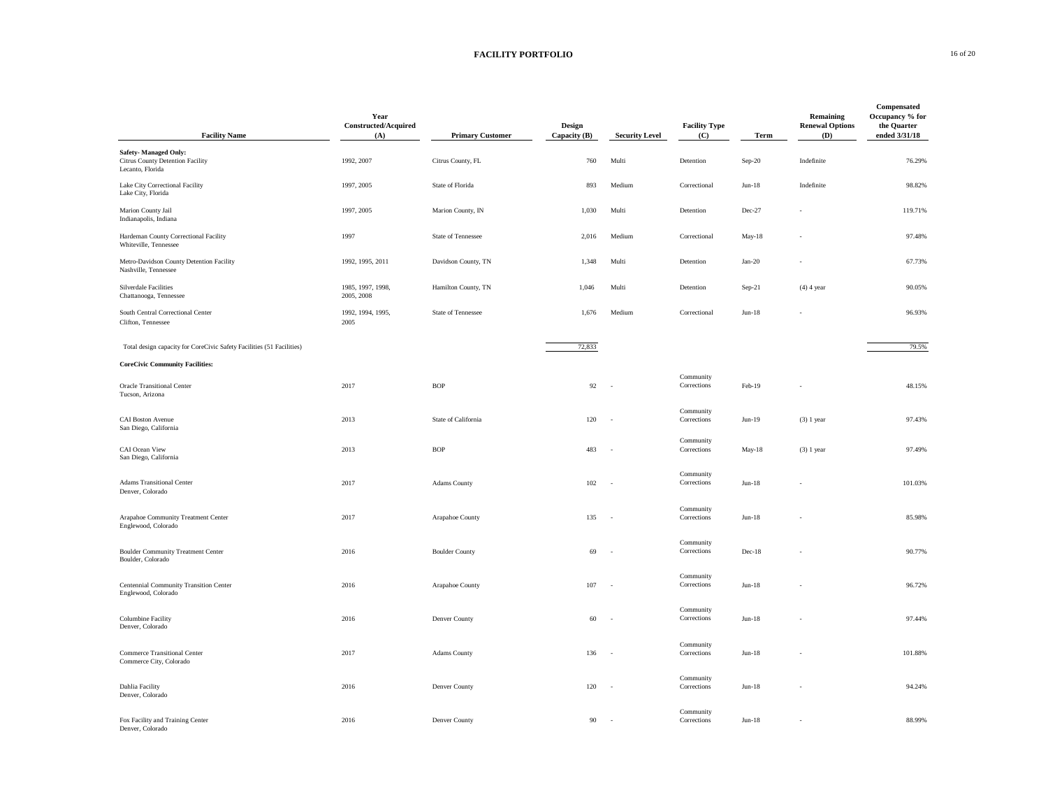# **FACILITY PORTFOLIO** 16 of 20

| <b>Facility Name</b>                                                      | Year<br>Constructed/Acquired<br>(A) | <b>Primary Customer</b> | Design<br>Capacity (B) | <b>Security Level</b> | <b>Facility Type</b><br>(C) | Term     | Remaining<br><b>Renewal Options</b><br>(D) | Compensated<br>Occupancy % for<br>the Quarter<br>ended 3/31/18 |
|---------------------------------------------------------------------------|-------------------------------------|-------------------------|------------------------|-----------------------|-----------------------------|----------|--------------------------------------------|----------------------------------------------------------------|
| Safety-Managed Only:<br>Citrus County Detention Facility                  | 1992, 2007                          | Citrus County, FL       | 760                    | Multi                 | Detention                   | Sep-20   | Indefinite                                 | 76.29%                                                         |
| Lecanto, Florida<br>Lake City Correctional Facility<br>Lake City, Florida | 1997, 2005                          | State of Florida        | 893                    | Medium                | Correctional                | $Jun-18$ | Indefinite                                 | 98.82%                                                         |
| Marion County Jail<br>Indianapolis, Indiana                               | 1997, 2005                          | Marion County, IN       | 1,030                  | Multi                 | Detention                   | Dec-27   |                                            | 119.71%                                                        |
| Hardeman County Correctional Facility<br>Whiteville, Tennessee            | 1997                                | State of Tennessee      | 2,016                  | Medium                | Correctional                | May-18   |                                            | 97.48%                                                         |
| Metro-Davidson County Detention Facility<br>Nashville, Tennessee          | 1992, 1995, 2011                    | Davidson County, TN     | 1,348                  | Multi                 | Detention                   | $Jan-20$ |                                            | 67.73%                                                         |
| Silverdale Facilities<br>Chattanooga, Tennessee                           | 1985, 1997, 1998,<br>2005, 2008     | Hamilton County, TN     | 1,046                  | Multi                 | Detention                   | Sep-21   | $(4)$ 4 year                               | 90.05%                                                         |
| South Central Correctional Center<br>Clifton, Tennessee                   | 1992, 1994, 1995,<br>2005           | State of Tennessee      | 1,676                  | Medium                | Correctional                | $Jun-18$ |                                            | 96.93%                                                         |
| Total design capacity for CoreCivic Safety Facilities (51 Facilities)     |                                     |                         | 72,833                 |                       |                             |          |                                            | 79.5%                                                          |
| <b>CoreCivic Community Facilities:</b>                                    |                                     |                         |                        |                       |                             |          |                                            |                                                                |
| <b>Oracle Transitional Center</b><br>Tucson, Arizona                      | 2017                                | <b>BOP</b>              | 92                     | $\sim$                | Community<br>Corrections    | Feb-19   |                                            | 48.15%                                                         |
| <b>CAI Boston Avenue</b><br>San Diego, California                         | 2013                                | State of California     | 120                    | $\sim$                | Community<br>Corrections    | $Jun-19$ | $(3)$ 1 year                               | 97.43%                                                         |
| CAI Ocean View<br>San Diego, California                                   | 2013                                | <b>BOP</b>              | 483                    | $\sim$                | Community<br>Corrections    | May-18   | $(3) 1$ year                               | 97.49%                                                         |
| <b>Adams Transitional Center</b><br>Denver, Colorado                      | 2017                                | Adams County            | 102                    | ۰.                    | Community<br>Corrections    | $Jun-18$ |                                            | 101.03%                                                        |
| Arapahoe Community Treatment Center<br>Englewood, Colorado                | 2017                                | Arapahoe County         | 135                    | ÷.                    | Community<br>Corrections    | $Jun-18$ |                                            | 85.98%                                                         |
| <b>Boulder Community Treatment Center</b><br>Boulder, Colorado            | 2016                                | <b>Boulder County</b>   | 69                     | ÷.                    | Community<br>Corrections    | $Dec-18$ |                                            | 90.77%                                                         |
| Centennial Community Transition Center<br>Englewood, Colorado             | 2016                                | Arapahoe County         | 107                    | ÷.                    | Community<br>Corrections    | $Jun-18$ |                                            | 96.72%                                                         |
| Columbine Facility<br>Denver, Colorado                                    | 2016                                | Denver County           | 60                     | ÷.                    | Community<br>Corrections    | $Jun-18$ |                                            | 97.44%                                                         |
| <b>Commerce Transitional Center</b><br>Commerce City, Colorado            | 2017                                | Adams County            | 136                    | $\sim$                | Community<br>Corrections    | $Jun-18$ |                                            | 101.88%                                                        |
| Dahlia Facility<br>Denver, Colorado                                       | 2016                                | Denver County           | 120                    | $\sim$                | Community<br>Corrections    | $Jun-18$ |                                            | 94.24%                                                         |
| Fox Facility and Training Center<br>Denver, Colorado                      | 2016                                | Denver County           | 90                     | ۰.                    | Community<br>Corrections    | $Jun-18$ |                                            | 88.99%                                                         |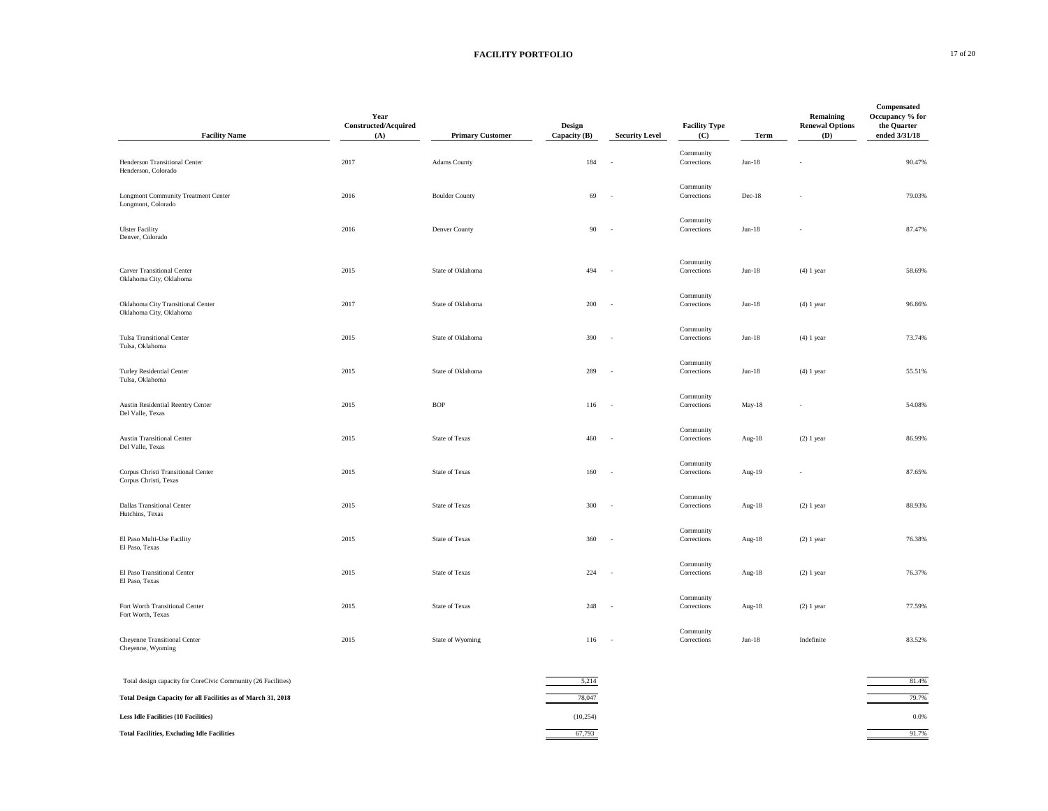# **FACILITY PORTFOLIO** 17 of 20

| <b>Facility Name</b>                                             | Year<br>Constructed/Acquired<br>(A) | <b>Primary Customer</b> | Design<br>Capacity (B) | <b>Security Level</b>    | <b>Facility Type</b><br>(C) | Term     | Remaining<br><b>Renewal Options</b><br>(D) | Compensated<br>Occupancy % for<br>the Quarter<br>ended 3/31/18 |
|------------------------------------------------------------------|-------------------------------------|-------------------------|------------------------|--------------------------|-----------------------------|----------|--------------------------------------------|----------------------------------------------------------------|
| Henderson Transitional Center<br>Henderson, Colorado             | 2017                                | Adams County            | 184                    | $\sim$                   | Community<br>Corrections    | $Jun-18$ |                                            | 90.47%                                                         |
| <b>Longmont Community Treatment Center</b><br>Longmont, Colorado | 2016                                | <b>Boulder County</b>   | 69                     | ÷,                       | Community<br>Corrections    | Dec-18   |                                            | 79.03%                                                         |
| <b>Ulster Facility</b><br>Denver, Colorado                       | 2016                                | Denver County           | 90                     | $\sim$                   | Community<br>Corrections    | $Jun-18$ |                                            | 87.47%                                                         |
| Carver Transitional Center<br>Oklahoma City, Oklahoma            | 2015                                | State of Oklahoma       | 494                    | ×.                       | Community<br>Corrections    | $Jun-18$ | $(4)$ 1 year                               | 58.69%                                                         |
| Oklahoma City Transitional Center<br>Oklahoma City, Oklahoma     | 2017                                | State of Oklahoma       | 200                    | ×,                       | Community<br>Corrections    | $Jun-18$ | $(4)$ 1 year                               | 96.86%                                                         |
| <b>Tulsa Transitional Center</b><br>Tulsa, Oklahoma              | 2015                                | State of Oklahoma       | 390                    | $\sim$                   | Community<br>Corrections    | $Jun-18$ | $(4)$ 1 year                               | 73.74%                                                         |
| Turley Residential Center<br>Tulsa, Oklahoma                     | 2015                                | State of Oklahoma       | 289                    | ٠.                       | Community<br>Corrections    | $Jun-18$ | $(4)$ 1 year                               | 55.51%                                                         |
| Austin Residential Reentry Center<br>Del Valle, Texas            | 2015                                | <b>BOP</b>              | 116                    | $\sim$                   | Community<br>Corrections    | May-18   |                                            | 54.08%                                                         |
| Austin Transitional Center<br>Del Valle, Texas                   | 2015                                | State of Texas          | 460                    | ÷.                       | Community<br>Corrections    | Aug-18   | $(2) 1$ year                               | 86.99%                                                         |
| Corpus Christi Transitional Center<br>Corpus Christi, Texas      | 2015                                | <b>State of Texas</b>   | 160                    | $\sim$                   | Community<br>Corrections    | Aug-19   |                                            | 87.65%                                                         |
| <b>Dallas Transitional Center</b><br>Hutchins, Texas             | 2015                                | <b>State of Texas</b>   | 300                    | $\sim$                   | Community<br>Corrections    | Aug-18   | $(2)$ 1 year                               | 88.93%                                                         |
| El Paso Multi-Use Facility<br>El Paso, Texas                     | 2015                                | <b>State of Texas</b>   | 360                    | $\overline{\phantom{a}}$ | Community<br>Corrections    | Aug-18   | $(2)$ 1 year                               | 76.38%                                                         |
| El Paso Transitional Center<br>El Paso, Texas                    | 2015                                | <b>State of Texas</b>   | 224                    | $\sim$                   | Community<br>Corrections    | Aug-18   | $(2) 1$ year                               | 76.37%                                                         |
| Fort Worth Transitional Center<br>Fort Worth, Texas              | 2015                                | State of Texas          | 248                    | $\sim$                   | Community<br>Corrections    | Aug-18   | $(2) 1$ year                               | 77.59%                                                         |
| Cheyenne Transitional Center<br>Cheyenne, Wyoming                | 2015                                | State of Wyoming        | 116                    | $\sim$                   | Community<br>Corrections    | $Jun-18$ | Indefinite                                 | 83.52%                                                         |
| Total design capacity for CoreCivic Community (26 Facilities)    |                                     |                         | 5,214                  |                          |                             |          |                                            | 81.4%                                                          |
| Total Design Capacity for all Facilities as of March 31, 2018    |                                     |                         | 78,047                 |                          |                             |          |                                            | 79.7%                                                          |
| <b>Less Idle Facilities (10 Facilities)</b>                      |                                     |                         | (10, 254)              |                          |                             |          |                                            | 0.0%                                                           |
| <b>Total Facilities, Excluding Idle Facilities</b>               |                                     |                         | 67,793                 |                          |                             |          |                                            | 91.7%                                                          |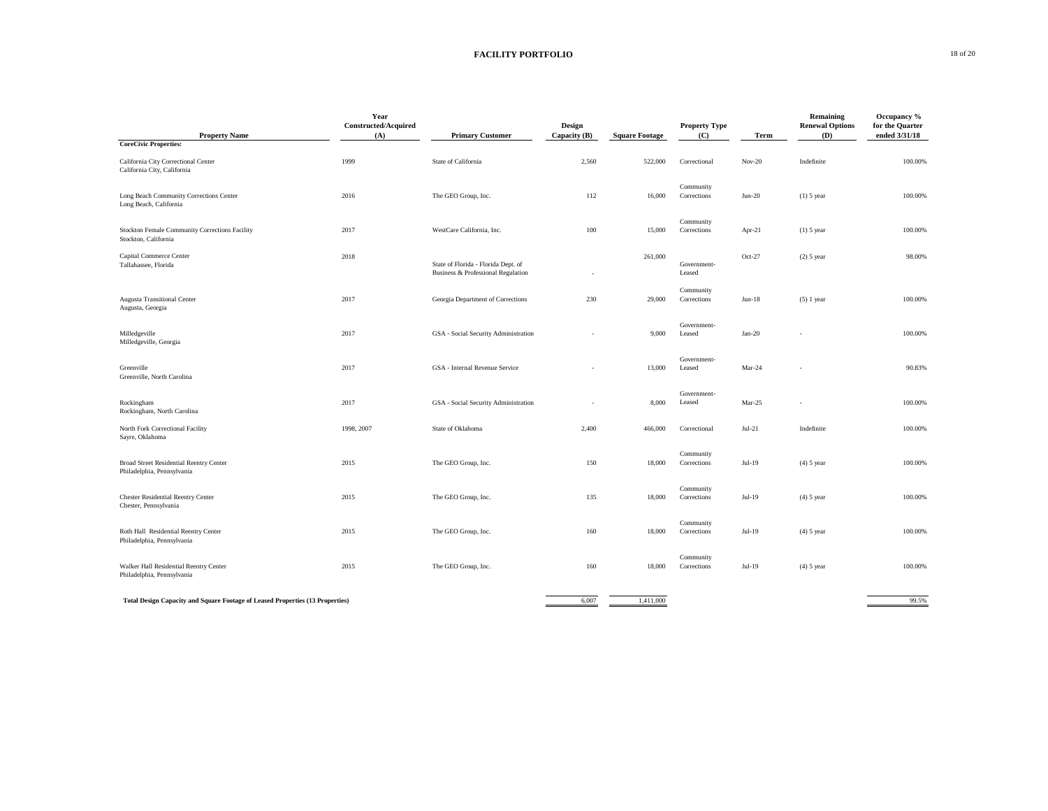# **FACILITY PORTFOLIO** 18 of 20

| <b>Property Name</b>                                                          | Year<br>Constructed/Acquired<br>(A) | <b>Primary Customer</b>                                                   | Design<br>Capacity (B) | <b>Square Footage</b> | <b>Property Type</b><br>(C) | Term     | Remaining<br><b>Renewal Options</b><br>(D) | Occupancy %<br>for the Quarter<br>ended 3/31/18 |
|-------------------------------------------------------------------------------|-------------------------------------|---------------------------------------------------------------------------|------------------------|-----------------------|-----------------------------|----------|--------------------------------------------|-------------------------------------------------|
| <b>CoreCivic Properties:</b>                                                  |                                     |                                                                           |                        |                       |                             |          |                                            |                                                 |
| California City Correctional Center<br>California City, California            | 1999                                | State of California                                                       | 2,560                  | 522,000               | Correctional                | $Nov-20$ | Indefinite                                 | 100.00%                                         |
| Long Beach Community Corrections Center<br>Long Beach, California             | 2016                                | The GEO Group, Inc.                                                       | 112                    | 16,000                | Community<br>Corrections    | $Jun-20$ | $(1)$ 5 year                               | 100.00%                                         |
| Stockton Female Community Corrections Facility<br>Stockton, California        | 2017                                | WestCare California, Inc.                                                 | 100                    | 15,000                | Community<br>Corrections    | Apr-21   | $(1)$ 5 year                               | 100.00%                                         |
| Capital Commerce Center<br>Tallahassee, Florida                               | 2018                                | State of Florida - Florida Dept. of<br>Business & Professional Regulation |                        | 261,000               | Government-<br>Leased       | $Oct-27$ | $(2)$ 5 year                               | 98.00%                                          |
| <b>Augusta Transitional Center</b><br>Augusta, Georgia                        | 2017                                | Georgia Department of Corrections                                         | 230                    | 29,000                | Community<br>Corrections    | $Jun-18$ | $(5)$ 1 year                               | 100.00%                                         |
| Milledgeville<br>Milledgeville, Georgia                                       | 2017                                | GSA - Social Security Administration                                      | ×,                     | 9,000                 | Government-<br>Leased       | $Jan-20$ |                                            | 100.00%                                         |
| Greenville<br>Greenville, North Carolina                                      | 2017                                | GSA - Internal Revenue Service                                            |                        | 13,000                | Government-<br>Leased       | Mar-24   |                                            | 90.83%                                          |
| Rockingham<br>Rockingham, North Carolina                                      | 2017                                | GSA - Social Security Administration                                      | ٠                      | 8,000                 | Government-<br>Leased       | Mar-25   |                                            | 100.00%                                         |
| North Fork Correctional Facility<br>Sayre, Oklahoma                           | 1998, 2007                          | State of Oklahoma                                                         | 2,400                  | 466,000               | Correctional                | $Jul-21$ | Indefinite                                 | 100.00%                                         |
| Broad Street Residential Reentry Center<br>Philadelphia, Pennsylvania         | 2015                                | The GEO Group, Inc.                                                       | 150                    | 18,000                | Community<br>Corrections    | Jul-19   | $(4)$ 5 year                               | 100.00%                                         |
| Chester Residential Reentry Center<br>Chester, Pennsylvania                   | 2015                                | The GEO Group, Inc.                                                       | 135                    | 18,000                | Community<br>Corrections    | $Jul-19$ | $(4)$ 5 year                               | 100.00%                                         |
| Roth Hall Residential Reentry Center<br>Philadelphia, Pennsylvania            | 2015                                | The GEO Group, Inc.                                                       | 160                    | 18,000                | Community<br>Corrections    | $Jul-19$ | $(4)$ 5 year                               | 100.00%                                         |
| Walker Hall Residential Reentry Center<br>Philadelphia, Pennsylvania          | 2015                                | The GEO Group, Inc.                                                       | 160                    | 18,000                | Community<br>Corrections    | Jul-19   | $(4)$ 5 year                               | 100.00%                                         |
| Total Design Capacity and Square Footage of Leased Properties (13 Properties) |                                     |                                                                           | 6,007                  | 1,411,000             |                             |          |                                            | 99.5%                                           |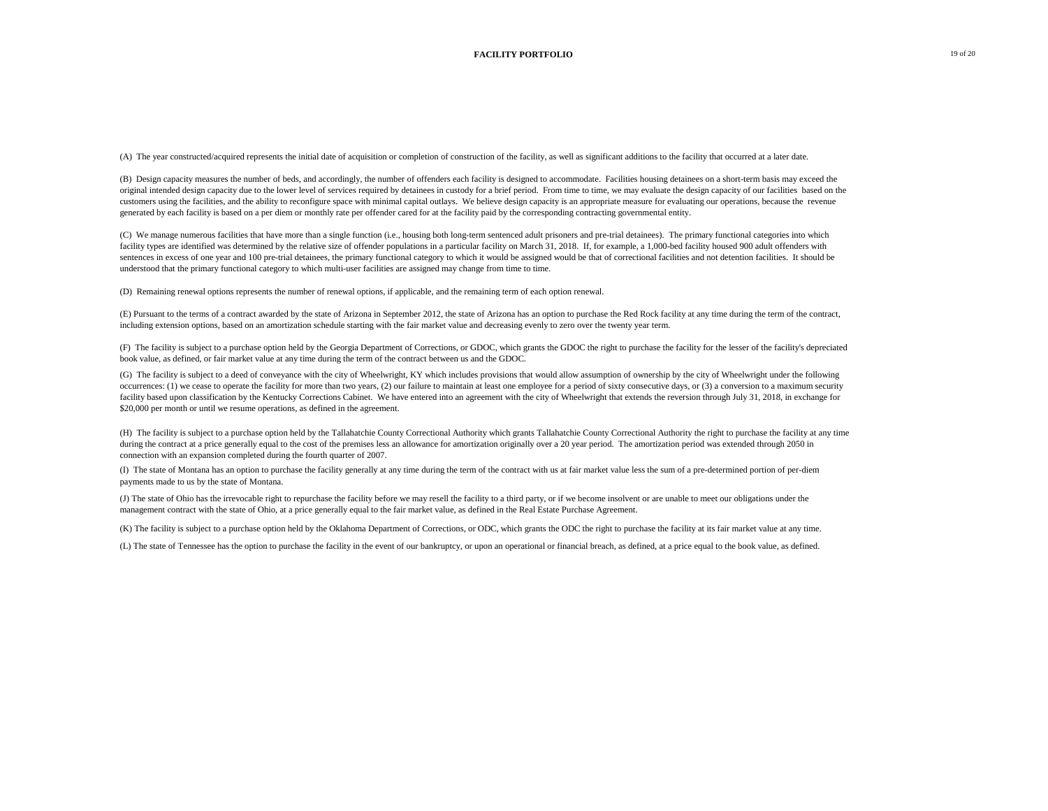(A) The year constructed/acquired represents the initial date of acquisition or completion of construction of the facility, as well as significant additions to the facility that occurred at a later date.

(B) Design capacity measures the number of beds, and accordingly, the number of offenders each facility is designed to accommodate. Facilities housing detainees on a short-term basis may exceed the original intended design capacity due to the lower level of services required by detainees in custody for a brief period. From time to time, we may evaluate the design capacity of our facilities based on the customers using the facilities, and the ability to reconfigure space with minimal capital outlays. We believe design capacity is an appropriate measure for evaluating our operations, because the revenue generated by each facility is based on a per diem or monthly rate per offender cared for at the facility paid by the corresponding contracting governmental entity.

(C) We manage numerous facilities that have more than a single function (i.e., housing both long-term sentenced adult prisoners and pre-trial detainees). The primary functional categories into which facility types are identified was determined by the relative size of offender populations in a particular facility on March 31, 2018. If, for example, a 1,000-bed facility housed 900 adult offenders with sentences in excess of one year and 100 pre-trial detainees, the primary functional category to which it would be assigned would be that of correctional facilities and not detention facilities. It should be understood that the primary functional category to which multi-user facilities are assigned may change from time to time.

(D) Remaining renewal options represents the number of renewal options, if applicable, and the remaining term of each option renewal.

(E) Pursuant to the terms of a contract awarded by the state of Arizona in September 2012, the state of Arizona has an option to purchase the Red Rock facility at any time during the term of the contract, including extension options, based on an amortization schedule starting with the fair market value and decreasing evenly to zero over the twenty year term.

(F) The facility is subject to a purchase option held by the Georgia Department of Corrections, or GDOC, which grants the GDOC the right to purchase the facility for the lesser of the facility's depreciated book value, as defined, or fair market value at any time during the term of the contract between us and the GDOC.

(G) The facility is subject to a deed of conveyance with the city of Wheelwright, KY which includes provisions that would allow assumption of ownership by the city of Wheelwright under the following occurrences: (1) we cease to operate the facility for more than two years, (2) our failure to maintain at least one employee for a period of sixty consecutive days, or (3) a conversion to a maximum security facility based upon classification by the Kentucky Corrections Cabinet. We have entered into an agreement with the city of Wheelwright that extends the reversion through July 31, 2018, in exchange for \$20,000 per month or until we resume operations, as defined in the agreement.

(H) The facility is subject to a purchase option held by the Tallahatchie County Correctional Authority which grants Tallahatchie County Correctional Authority the right to purchase the facility at any time during the contract at a price generally equal to the cost of the premises less an allowance for amortization originally over a 20 year period. The amortization period was extended through 2050 in connection with an expansion completed during the fourth quarter of 2007.

(I) The state of Montana has an option to purchase the facility generally at any time during the term of the contract with us at fair market value less the sum of a pre-determined portion of per-diem payments made to us by the state of Montana.

(J) The state of Ohio has the irrevocable right to repurchase the facility before we may resell the facility to a third party, or if we become insolvent or are unable to meet our obligations under the management contract with the state of Ohio, at a price generally equal to the fair market value, as defined in the Real Estate Purchase Agreement.

(K) The facility is subject to a purchase option held by the Oklahoma Department of Corrections, or ODC, which grants the ODC the right to purchase the facility at its fair market value at any time.

(L) The state of Tennessee has the option to purchase the facility in the event of our bankruptcy, or upon an operational or financial breach, as defined, at a price equal to the book value, as defined.